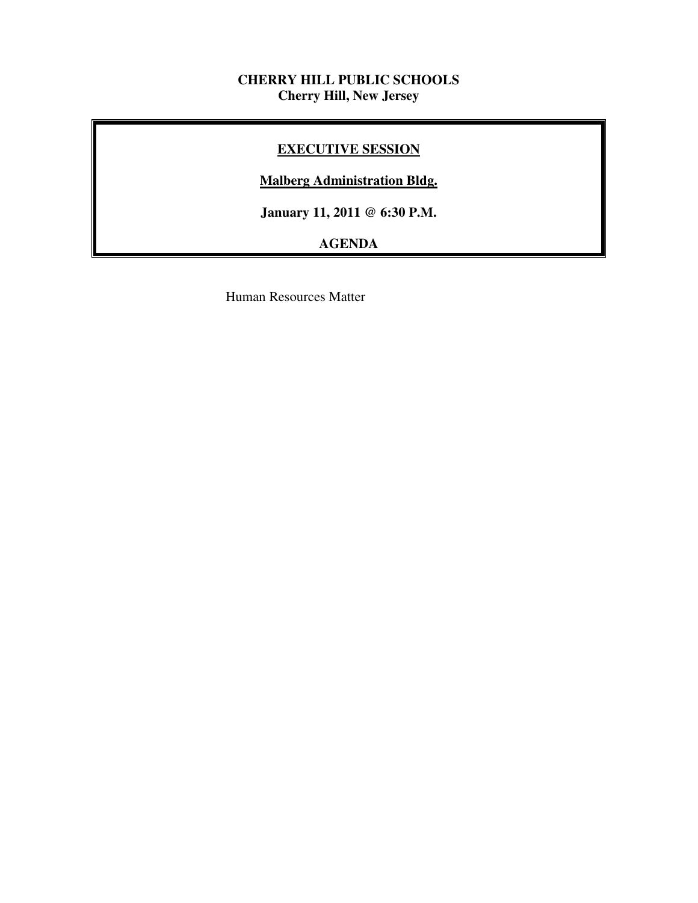## **CHERRY HILL PUBLIC SCHOOLS Cherry Hill, New Jersey**

## **EXECUTIVE SESSION**

## **Malberg Administration Bldg.**

 **January 11, 2011 @ 6:30 P.M.** 

# **AGENDA**

Human Resources Matter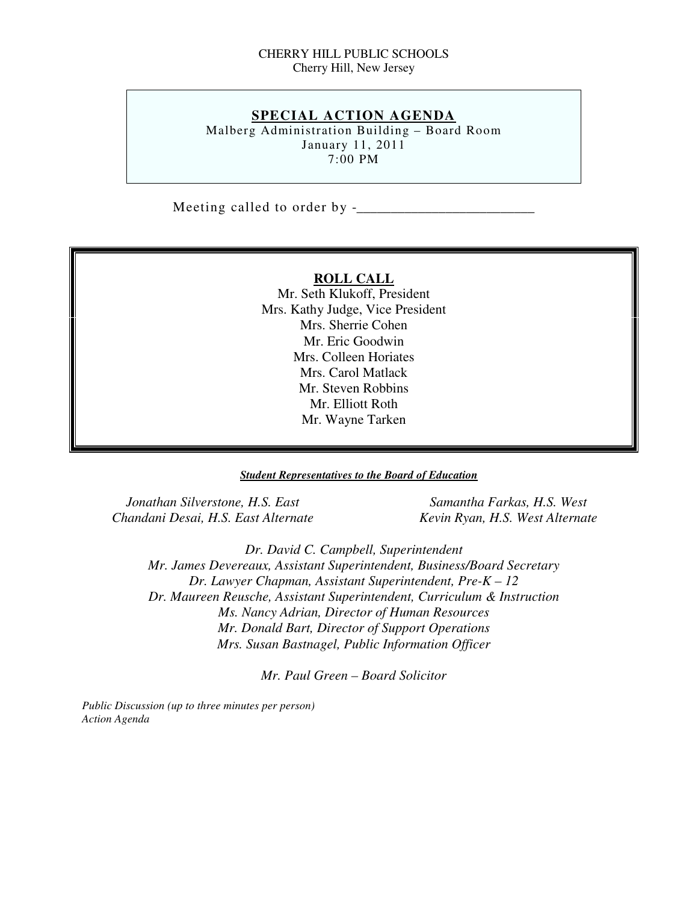#### CHERRY HILL PUBLIC SCHOOLS Cherry Hill, New Jersey

## **SPECIAL ACTION AGENDA**

 Malberg Administration Building – Board Room January 11, 2011 7:00 PM

Meeting called to order by  $-$ 

#### **ROLL CALL**

 Mr. Seth Klukoff, President Mrs. Kathy Judge, Vice President Mrs. Sherrie Cohen Mr. Eric Goodwin Mrs. Colleen Horiates Mrs. Carol Matlack Mr. Steven Robbins Mr. Elliott Roth Mr. Wayne Tarken

#### *Student Representatives to the Board of Education*

*Jonathan Silverstone, H.S. East* Samantha Farkas, H.S. West  *Chandani Desai, H.S. East Alternate Kevin Ryan, H.S. West Alternate* 

 *Dr. David C. Campbell, Superintendent Mr. James Devereaux, Assistant Superintendent, Business/Board Secretary Dr. Lawyer Chapman, Assistant Superintendent, Pre-K – 12 Dr. Maureen Reusche, Assistant Superintendent, Curriculum & Instruction Ms. Nancy Adrian, Director of Human Resources Mr. Donald Bart, Director of Support Operations Mrs. Susan Bastnagel, Public Information Officer* 

 *Mr. Paul Green – Board Solicitor* 

 *Public Discussion (up to three minutes per person) Action Agenda*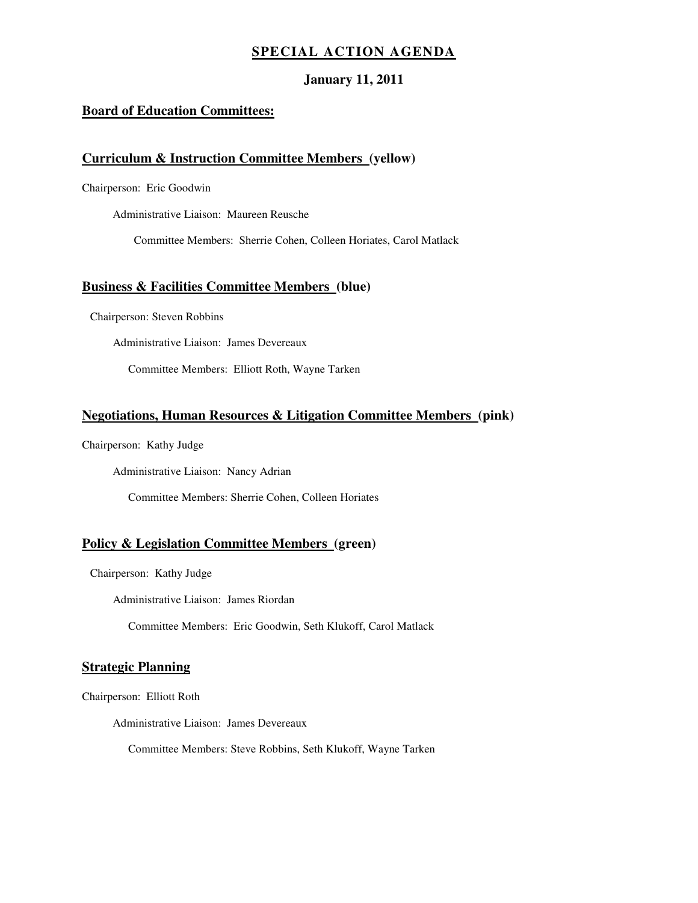### **SPECIAL ACTION AGENDA**

#### **January 11, 2011**

#### **Board of Education Committees:**

#### **Curriculum & Instruction Committee Members (yellow)**

Chairperson: Eric Goodwin

Administrative Liaison: Maureen Reusche

Committee Members: Sherrie Cohen, Colleen Horiates, Carol Matlack

#### **Business & Facilities Committee Members (blue)**

Chairperson: Steven Robbins

Administrative Liaison: James Devereaux

Committee Members: Elliott Roth, Wayne Tarken

#### **Negotiations, Human Resources & Litigation Committee Members (pink)**

Chairperson: Kathy Judge

Administrative Liaison: Nancy Adrian

Committee Members: Sherrie Cohen, Colleen Horiates

#### **Policy & Legislation Committee Members (green)**

Chairperson: Kathy Judge

Administrative Liaison: James Riordan

Committee Members: Eric Goodwin, Seth Klukoff, Carol Matlack

#### **Strategic Planning**

Chairperson: Elliott Roth

Administrative Liaison: James Devereaux

Committee Members: Steve Robbins, Seth Klukoff, Wayne Tarken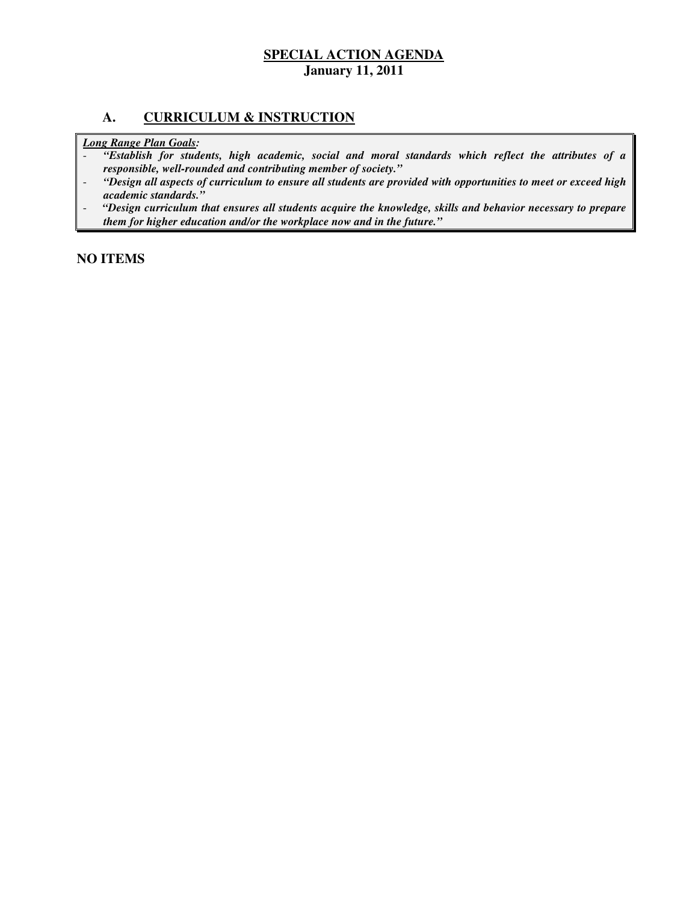### **A. CURRICULUM & INSTRUCTION**

 *Long Range Plan Goals:* 

- **-** "Establish for students, high academic, social and moral standards which reflect the attributes of a  *responsible, well-rounded and contributing member of society."*
- *"Design all aspects of curriculum to ensure all students are provided with opportunities to meet or exceed high academic standards."*
- *"Design curriculum that ensures all students acquire the knowledge, skills and behavior necessary to prepare them for higher education and/or the workplace now and in the future."*

 **NO ITEMS**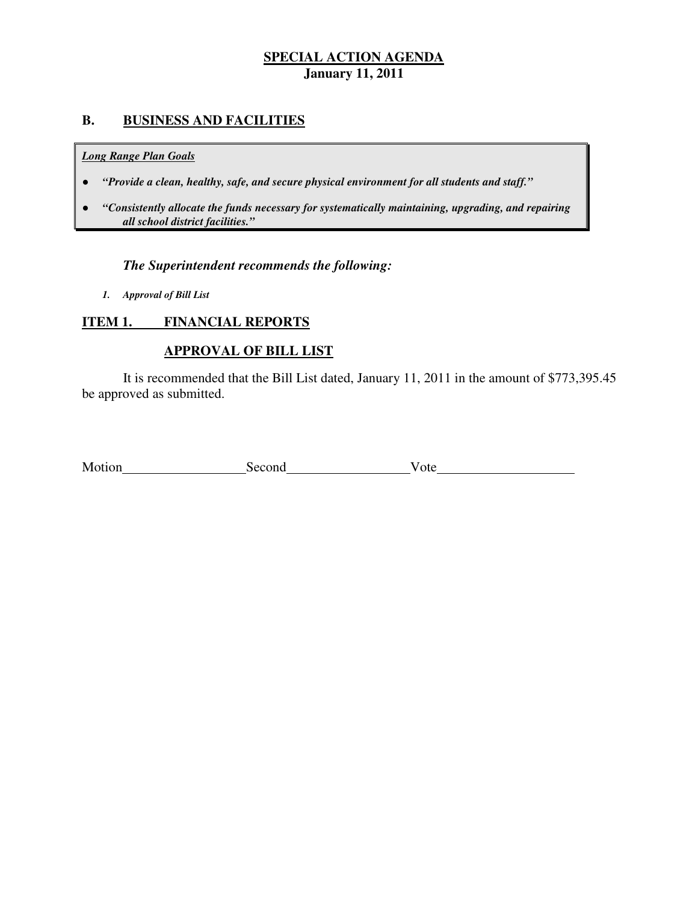## **B. BUSINESS AND FACILITIES**

#### *Long Range Plan Goals*

- *"Provide a clean, healthy, safe, and secure physical environment for all students and staff."*
- *all school district facilities."*  ● *"Consistently allocate the funds necessary for systematically maintaining, upgrading, and repairing*

## *The Superintendent recommends the following:*

 *1. Approval of Bill List* 

#### **ITEM 1. FINANCIAL REPORTS**

## **APPROVAL OF BILL LIST**

 be approved as submitted. It is recommended that the Bill List dated, January 11, 2011 in the amount of \$773,395.45

| Motion | Second | 'ote |
|--------|--------|------|
|        |        |      |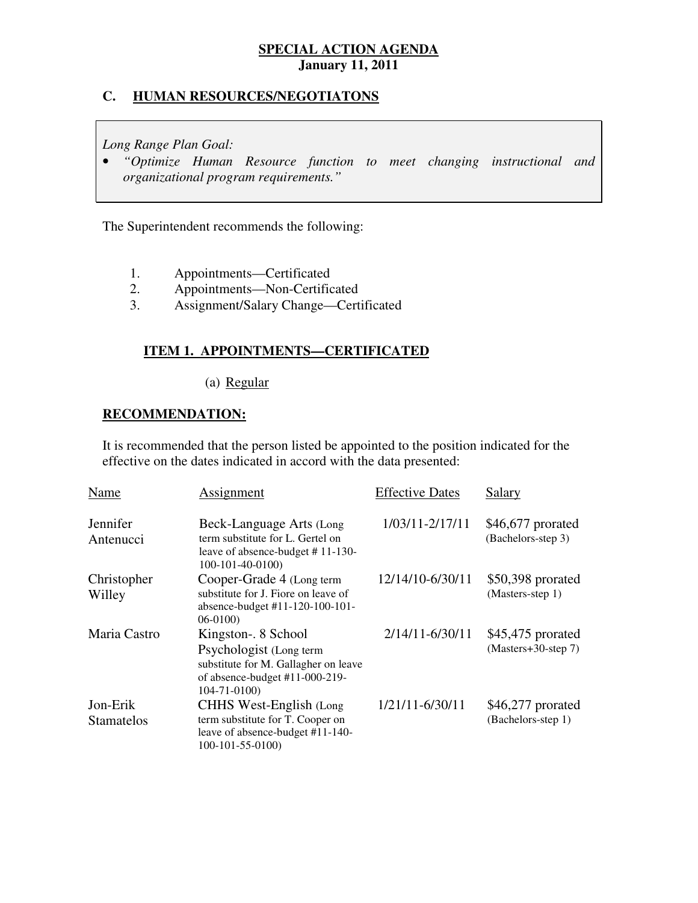## **C. HUMAN RESOURCES/NEGOTIATONS**

 *Long Range Plan Goal:* 

**•** "Optimize Human Resource function to meet changing instructional and  *organizational program requirements."* 

The Superintendent recommends the following:

- $1.$ 1. Appointments—Certificated
- 2. 2. Appointments—Non-Certificated
- 3. Assignment/Salary Change—Certificated

## **ITEM 1. APPOINTMENTS—CERTIFICATED**

### (a) Regular

## **RECOMMENDATION:**

 It is recommended that the person listed be appointed to the position indicated for the effective on the dates indicated in accord with the data presented:

| Name                          | Assignment                                                                                                                                    | <b>Effective Dates</b> | Salary                                      |
|-------------------------------|-----------------------------------------------------------------------------------------------------------------------------------------------|------------------------|---------------------------------------------|
| Jennifer<br>Antenucci         | Beck-Language Arts (Long<br>term substitute for L. Gertel on<br>leave of absence-budget $# 11-130-$<br>100-101-40-0100)                       | 1/03/11-2/17/11        | \$46,677 prorated<br>(Bachelors-step 3)     |
| Christopher<br>Willey         | Cooper-Grade 4 (Long term<br>substitute for J. Fiore on leave of<br>absence-budget #11-120-100-101-<br>$06-0100$                              | 12/14/10-6/30/11       | \$50,398 prorated<br>(Masters-step 1)       |
| Maria Castro                  | Kingston-. 8 School<br>Psychologist (Long term<br>substitute for M. Gallagher on leave<br>of absence-budget #11-000-219-<br>$104 - 71 - 0100$ | $2/14/11 - 6/30/11$    | $$45,475$ prorated<br>$(Masters+30-step 7)$ |
| Jon-Erik<br><b>Stamatelos</b> | CHHS West-English (Long)<br>term substitute for T. Cooper on<br>leave of absence-budget #11-140-<br>$100-101-55-0100$                         | 1/21/11-6/30/11        | \$46,277 prorated<br>(Bachelors-step 1)     |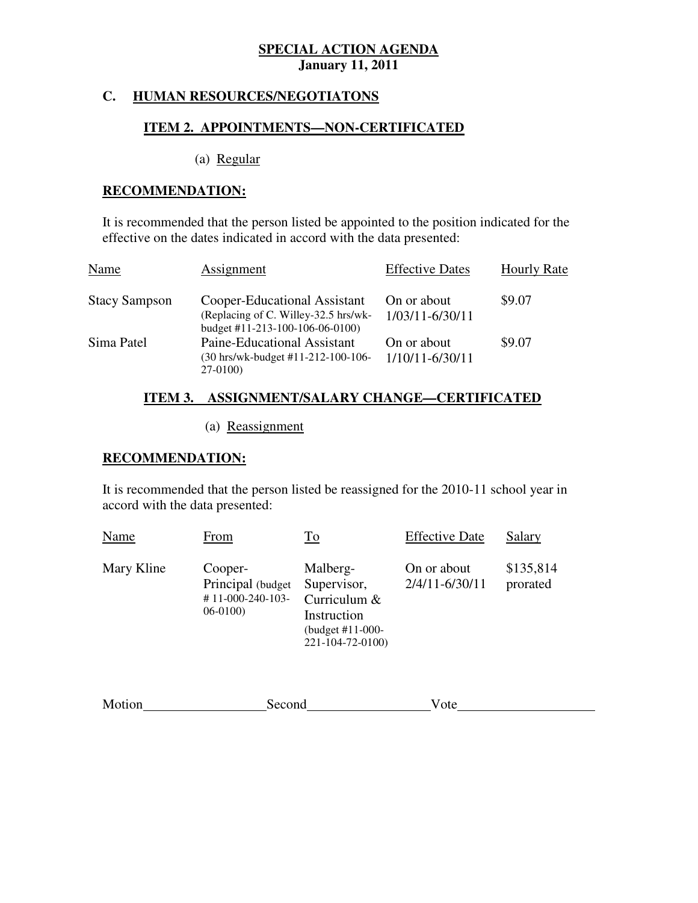## **C. HUMAN RESOURCES/NEGOTIATONS**

## **ITEM 2. APPOINTMENTS—NON-CERTIFICATED**

(a) Regular

### **RECOMMENDATION:**

 It is recommended that the person listed be appointed to the position indicated for the effective on the dates indicated in accord with the data presented:

| Name                 | Assignment                                                                                              | <b>Effective Dates</b>         | <b>Hourly Rate</b> |
|----------------------|---------------------------------------------------------------------------------------------------------|--------------------------------|--------------------|
| <b>Stacy Sampson</b> | Cooper-Educational Assistant<br>(Replacing of C. Willey-32.5 hrs/wk-<br>budget #11-213-100-106-06-0100) | On or about<br>1/03/11-6/30/11 | \$9.07             |
| Sima Patel           | Paine-Educational Assistant<br>(30 hrs/wk-budget #11-212-100-106-<br>$27-0100$                          | On or about<br>1/10/11-6/30/11 | \$9.07             |

## **ITEM 3. ASSIGNMENT/SALARY CHANGE—CERTIFICATED**

# (a) Reassignment

### **RECOMMENDATION:**

 It is recommended that the person listed be reassigned for the 2010-11 school year in accord with the data presented:

| Name       | From                                                                     | <u>To</u>                                                                                      | <b>Effective Date</b>         | Salary                |
|------------|--------------------------------------------------------------------------|------------------------------------------------------------------------------------------------|-------------------------------|-----------------------|
| Mary Kline | Cooper-<br>Principal (budget)<br>$# 11 - 000 - 240 - 103 -$<br>$06-0100$ | Malberg-<br>Supervisor,<br>Curriculum &<br>Instruction<br>(budget #11-000-<br>221-104-72-0100) | On or about<br>2/4/11-6/30/11 | \$135,814<br>prorated |
|            |                                                                          |                                                                                                |                               |                       |

| Motion | $\sim$ $\sim$ $\sim$ $\sim$<br>ronc<br>NH C | vu |
|--------|---------------------------------------------|----|
|        |                                             |    |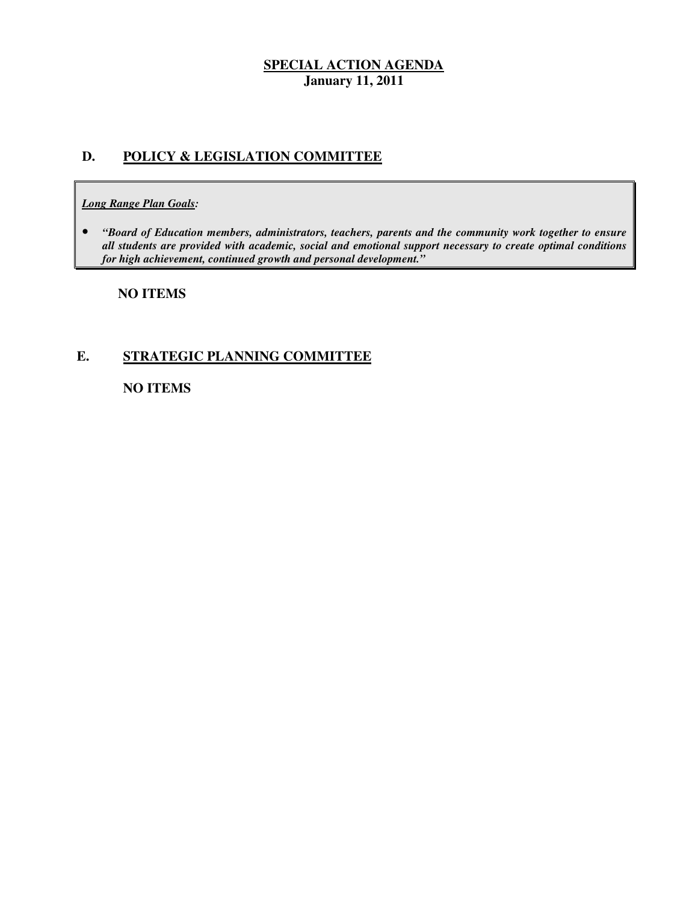## **D. POLICY & LEGISLATION COMMITTEE**

#### *Long Range Plan Goals:*

**•** "Board of Education members, administrators, teachers, parents and the community work together to ensure  *all students are provided with academic, social and emotional support necessary to create optimal conditions for high achievement, continued growth and personal development."* 

 **NO ITEMS** 

## **E. STRATEGIC PLANNING COMMITTEE**

**NO ITEMS**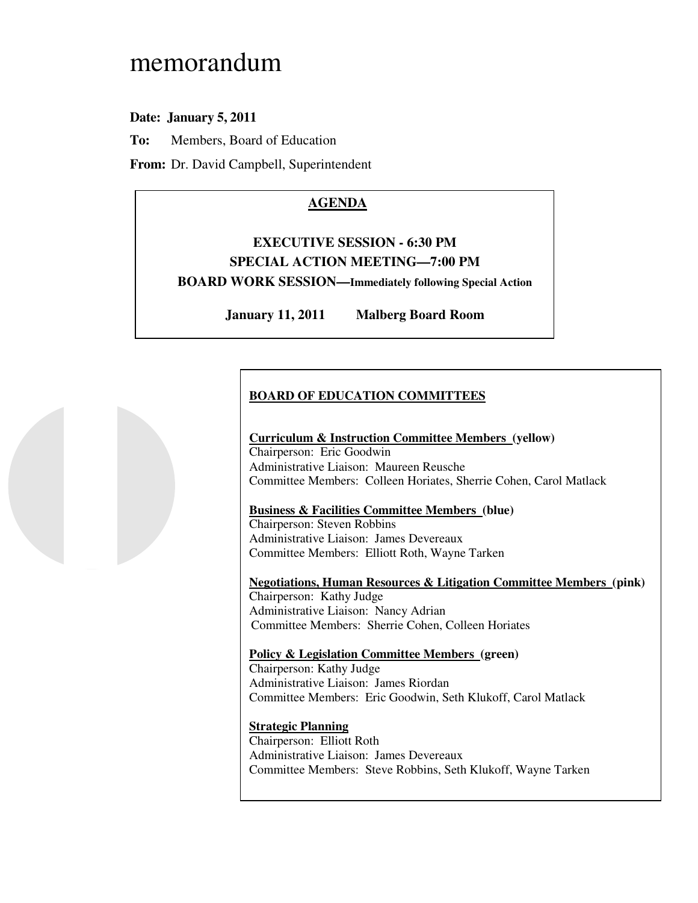# memorandum

## **Date: January 5, 2011**

**To:** Members, Board of Education

**From:** Dr. David Campbell, Superintendent

# **AGENDA**

# **EXECUTIVE SESSION - 6:30 PM SPECIAL ACTION MEETING—7:00 PM BOARD WORK SESSION—Immediately following Special Action**

**January 11, 2011 Malberg Board Room** 

## **BOARD OF EDUCATION COMMITTEES**

#### **Curriculum & Instruction Committee Members (yellow)**  Chairperson: Eric Goodwin Administrative Liaison: Maureen Reusche Committee Members: Colleen Horiates, Sherrie Cohen, Carol Matlack

### **Business & Facilities Committee Members (blue)**

 Chairperson: Steven Robbins Administrative Liaison: James Devereaux Committee Members: Elliott Roth, Wayne Tarken

 **Negotiations, Human Resources & Litigation Committee Members (pink)**  Chairperson: Kathy Judge Administrative Liaison: Nancy Adrian Committee Members: Sherrie Cohen, Colleen Horiates

 **Policy & Legislation Committee Members (green)**  Chairperson: Kathy Judge

 Administrative Liaison: James Riordan Committee Members: Eric Goodwin, Seth Klukoff, Carol Matlack

#### **Strategic Planning**

 Chairperson: Elliott Roth Administrative Liaison: James Devereaux Committee Members: Steve Robbins, Seth Klukoff, Wayne Tarken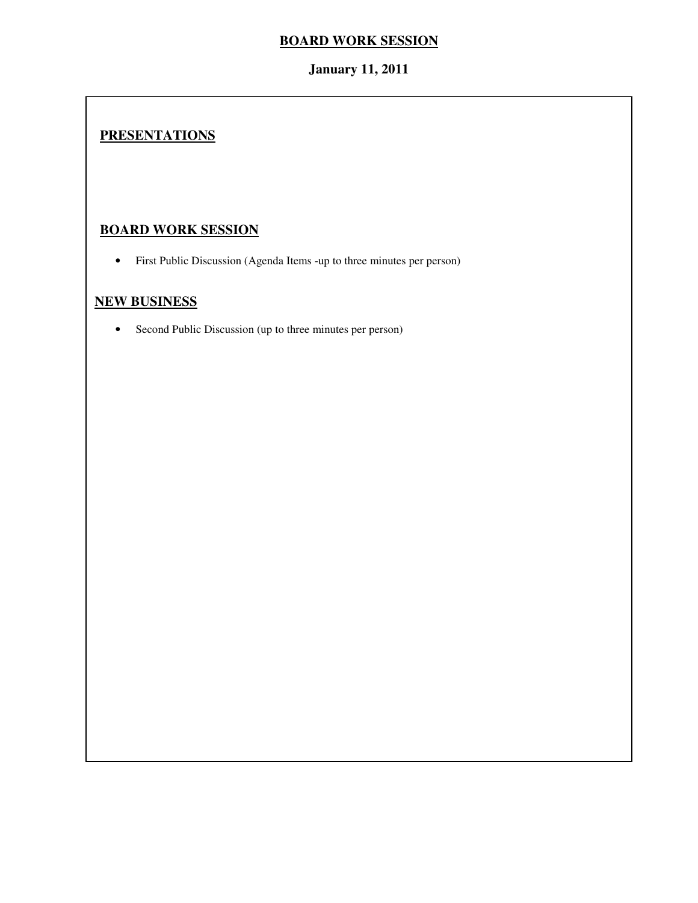## **January 11, 2011**

# **PRESENTATIONS**

## **BOARD WORK SESSION**

• First Public Discussion (Agenda Items -up to three minutes per person)

## **NEW BUSINESS**

• Second Public Discussion (up to three minutes per person)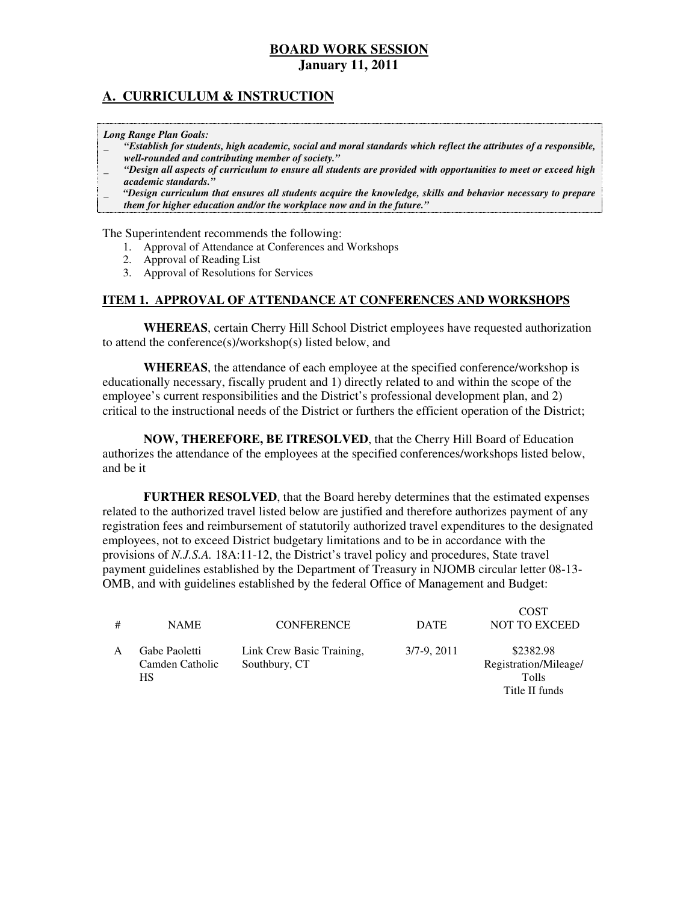## **A. CURRICULUM & INSTRUCTION**

 *Long Range Plan Goals:* 

- \_ *"Establish for students, high academic, social and moral standards which reflect the attributes of a responsible, well-rounded and contributing member of society."*
- \_ *"Design all aspects of curriculum to ensure all students are provided with opportunities to meet or exceed high academic standards."*
- \_ *"Design curriculum that ensures all students acquire the knowledge, skills and behavior necessary to prepare them for higher education and/or the workplace now and in the future."*

The Superintendent recommends the following:

- 1. Approval of Attendance at Conferences and Workshops
- 2. Approval of Reading List
- 3. Approval of Resolutions for Services

#### **ITEM 1. APPROVAL OF ATTENDANCE AT CONFERENCES AND WORKSHOPS**

 **WHEREAS**, certain Cherry Hill School District employees have requested authorization to attend the conference(s)/workshop(s) listed below, and

 **WHEREAS**, the attendance of each employee at the specified conference/workshop is educationally necessary, fiscally prudent and 1) directly related to and within the scope of the employee's current responsibilities and the District's professional development plan, and 2) critical to the instructional needs of the District or furthers the efficient operation of the District;

 **NOW, THEREFORE, BE ITRESOLVED**, that the Cherry Hill Board of Education authorizes the attendance of the employees at the specified conferences/workshops listed below, and be it

 **FURTHER RESOLVED**, that the Board hereby determines that the estimated expenses related to the authorized travel listed below are justified and therefore authorizes payment of any registration fees and reimbursement of statutorily authorized travel expenditures to the designated employees, not to exceed District budgetary limitations and to be in accordance with the provisions of *N.J.S.A.* 18A:11-12, the District's travel policy and procedures, State travel payment guidelines established by the Department of Treasury in NJOMB circular letter 08-13 OMB, and with guidelines established by the federal Office of Management and Budget:

| # | <b>NAME</b>                                   | <b>CONFERENCE</b>                          | <b>DATE</b>   | <b>COST</b><br><b>NOT TO EXCEED</b>                                  |
|---|-----------------------------------------------|--------------------------------------------|---------------|----------------------------------------------------------------------|
|   | Gabe Paoletti<br>Camden Catholic<br><b>HS</b> | Link Crew Basic Training,<br>Southbury, CT | $3/7-9, 2011$ | \$2382.98<br>Registration/Mileage/<br><b>Tolls</b><br>Title II funds |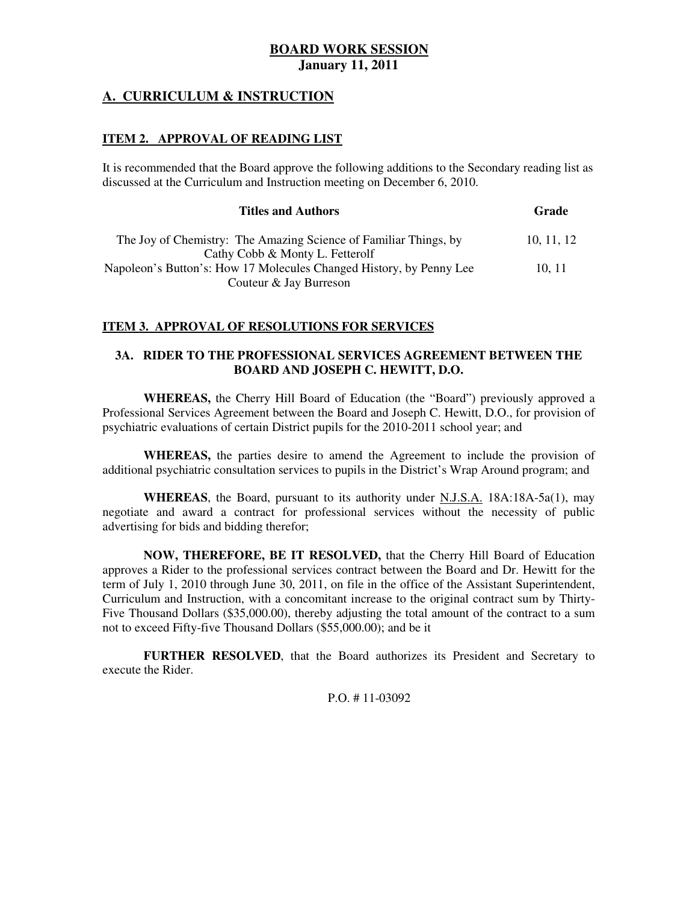## **A. CURRICULUM & INSTRUCTION**

#### **ITEM 2. APPROVAL OF READING LIST**

 It is recommended that the Board approve the following additions to the Secondary reading list as discussed at the Curriculum and Instruction meeting on December 6, 2010.

| <b>Titles and Authors</b>                                           | Grade    |
|---------------------------------------------------------------------|----------|
| The Joy of Chemistry: The Amazing Science of Familiar Things, by    | 10.11.12 |
| Cathy Cobb & Monty L. Fetterolf                                     |          |
| Napoleon's Button's: How 17 Molecules Changed History, by Penny Lee | 10.11    |
| Couteur & Jay Burreson                                              |          |

### **ITEM 3. APPROVAL OF RESOLUTIONS FOR SERVICES**

#### **3A. RIDER TO THE PROFESSIONAL SERVICES AGREEMENT BETWEEN THE BOARD AND JOSEPH C. HEWITT, D.O.**

 **WHEREAS,** the Cherry Hill Board of Education (the "Board") previously approved a Professional Services Agreement between the Board and Joseph C. Hewitt, D.O., for provision of psychiatric evaluations of certain District pupils for the 2010-2011 school year; and

 **WHEREAS,** the parties desire to amend the Agreement to include the provision of additional psychiatric consultation services to pupils in the District's Wrap Around program; and

 **WHEREAS**, the Board, pursuant to its authority under N.J.S.A. 18A:18A-5a(1), may negotiate and award a contract for professional services without the necessity of public advertising for bids and bidding therefor;

 **NOW, THEREFORE, BE IT RESOLVED,** that the Cherry Hill Board of Education approves a Rider to the professional services contract between the Board and Dr. Hewitt for the term of July 1, 2010 through June 30, 2011, on file in the office of the Assistant Superintendent, Curriculum and Instruction, with a concomitant increase to the original contract sum by Thirty- Five Thousand Dollars (\$35,000.00), thereby adjusting the total amount of the contract to a sum not to exceed Fifty-five Thousand Dollars (\$55,000.00); and be it

 **FURTHER RESOLVED**, that the Board authorizes its President and Secretary to execute the Rider.

#### P.O. # 11-03092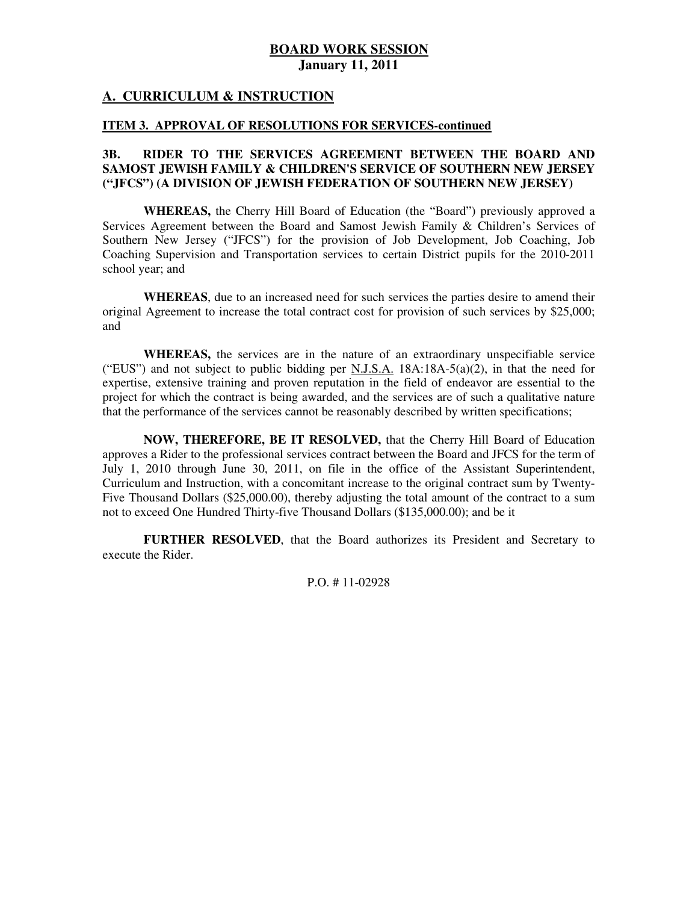### **A. CURRICULUM & INSTRUCTION**

#### **ITEM 3. APPROVAL OF RESOLUTIONS FOR SERVICES-continued**

#### 3B.  **SAMOST JEWISH FAMILY & CHILDREN'S SERVICE OF SOUTHERN NEW JERSEY ("JFCS") (A DIVISION OF JEWISH FEDERATION OF SOUTHERN NEW JERSEY) 3B. RIDER TO THE SERVICES AGREEMENT BETWEEN THE BOARD AND**

 **WHEREAS,** the Cherry Hill Board of Education (the "Board") previously approved a Services Agreement between the Board and Samost Jewish Family & Children's Services of Southern New Jersey ("JFCS") for the provision of Job Development, Job Coaching, Job Coaching Supervision and Transportation services to certain District pupils for the 2010-2011 school year; and

 **WHEREAS**, due to an increased need for such services the parties desire to amend their original Agreement to increase the total contract cost for provision of such services by \$25,000; and

 **WHEREAS,** the services are in the nature of an extraordinary unspecifiable service ("EUS") and not subject to public bidding per N.J.S.A. 18A:18A-5(a)(2), in that the need for expertise, extensive training and proven reputation in the field of endeavor are essential to the project for which the contract is being awarded, and the services are of such a qualitative nature that the performance of the services cannot be reasonably described by written specifications;

 **NOW, THEREFORE, BE IT RESOLVED,** that the Cherry Hill Board of Education approves a Rider to the professional services contract between the Board and JFCS for the term of July 1, 2010 through June 30, 2011, on file in the office of the Assistant Superintendent, Curriculum and Instruction, with a concomitant increase to the original contract sum by Twenty- Five Thousand Dollars (\$25,000.00), thereby adjusting the total amount of the contract to a sum not to exceed One Hundred Thirty-five Thousand Dollars (\$135,000.00); and be it

 **FURTHER RESOLVED**, that the Board authorizes its President and Secretary to execute the Rider.

P.O. # 11-02928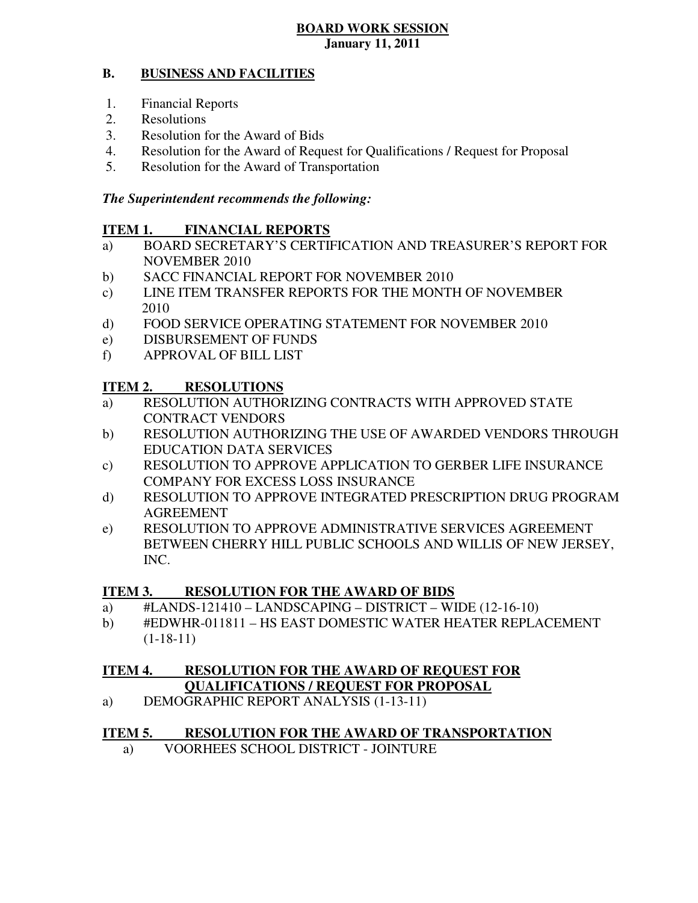#### **B. BUSINESS AND FACILITIES**

- 1. Financial Reports
- 2. Resolutions
- 3. Resolution for the Award of Bids
- 4. Resolution for the Award of Request for Qualifications / Request for Proposal
- 5. Resolution for the Award of Transportation

## *The Superintendent recommends the following:*

#### **ITEM 1. FINANCIAL REPORTS**

- a) BOARD SECRETARY'S CERTIFICATION AND TREASURER'S REPORT FOR NOVEMBER 2010
- b) SACC FINANCIAL REPORT FOR NOVEMBER 2010
- $\mathbf{c}$ ) LINE ITEM TRANSFER REPORTS FOR THE MONTH OF NOVEMBER 2010
- $\rm d)$ FOOD SERVICE OPERATING STATEMENT FOR NOVEMBER 2010
- e) DISBURSEMENT OF FUNDS
- f) APPROVAL OF BILL LIST

#### **ITEM 2. RESOLUTIONS**

- a) RESOLUTION AUTHORIZING CONTRACTS WITH APPROVED STATE CONTRACT VENDORS
- b) RESOLUTION AUTHORIZING THE USE OF AWARDED VENDORS THROUGH EDUCATION DATA SERVICES
- c) RESOLUTION TO APPROVE APPLICATION TO GERBER LIFE INSURANCE COMPANY FOR EXCESS LOSS INSURANCE
- d) RESOLUTION TO APPROVE INTEGRATED PRESCRIPTION DRUG PROGRAM AGREEMENT
- e) RESOLUTION TO APPROVE ADMINISTRATIVE SERVICES AGREEMENT BETWEEN CHERRY HILL PUBLIC SCHOOLS AND WILLIS OF NEW JERSEY, INC.

#### **ITEM 3. RESOLUTION FOR THE AWARD OF BIDS**

- a)  $\#$ LANDS-121410 LANDSCAPING DISTRICT WIDE (12-16-10)
- b) #EDWHR-011811 HS EAST DOMESTIC WATER HEATER REPLACEMENT  $(1-18-11)$

#### **ITEM 4. QUALIFICATIONS / REQUEST FOR PROPOSAL RESOLUTION FOR THE AWARD OF REQUEST FOR**

a) DEMOGRAPHIC REPORT ANALYSIS (1-13-11)

#### **ITEM 5. RESOLUTION FOR THE AWARD OF TRANSPORTATION**

a) VOORHEES SCHOOL DISTRICT - JOINTURE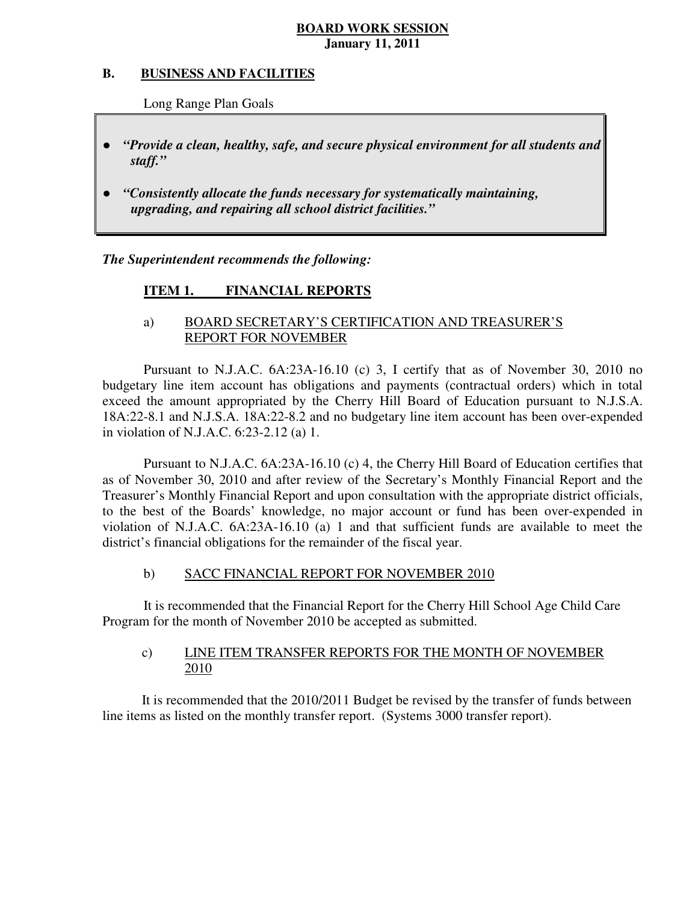#### **B. B. BUSINESS AND FACILITIES**

Long Range Plan Goals

- *"Provide a clean, healthy, safe, and secure physical environment for all students and staff."*
- *"Consistently allocate the funds necessary for systematically maintaining, upgrading, and repairing all school district facilities."*

 *The Superintendent recommends the following:* 

#### **ITEM 1. FINANCIAL REPORTS**

## a) BOARD SECRETARY'S CERTIFICATION AND TREASURER'S REPORT FOR NOVEMBER

 Pursuant to N.J.A.C. 6A:23A-16.10 (c) 3, I certify that as of November 30, 2010 no budgetary line item account has obligations and payments (contractual orders) which in total exceed the amount appropriated by the Cherry Hill Board of Education pursuant to N.J.S.A. 18A:22-8.1 and N.J.S.A. 18A:22-8.2 and no budgetary line item account has been over-expended in violation of N.J.A.C. 6:23-2.12 (a) 1.

 Pursuant to N.J.A.C. 6A:23A-16.10 (c) 4, the Cherry Hill Board of Education certifies that as of November 30, 2010 and after review of the Secretary's Monthly Financial Report and the Treasurer's Monthly Financial Report and upon consultation with the appropriate district officials, to the best of the Boards' knowledge, no major account or fund has been over-expended in violation of N.J.A.C.  $6A:23A-16.10$  (a) 1 and that sufficient funds are available to meet the district's financial obligations for the remainder of the fiscal year.

#### $b)$ SACC FINANCIAL REPORT FOR NOVEMBER 2010

 It is recommended that the Financial Report for the Cherry Hill School Age Child Care Program for the month of November 2010 be accepted as submitted.

#### $c)$ LINE ITEM TRANSFER REPORTS FOR THE MONTH OF NOVEMBER 2010

 It is recommended that the 2010/2011 Budget be revised by the transfer of funds between line items as listed on the monthly transfer report. (Systems 3000 transfer report).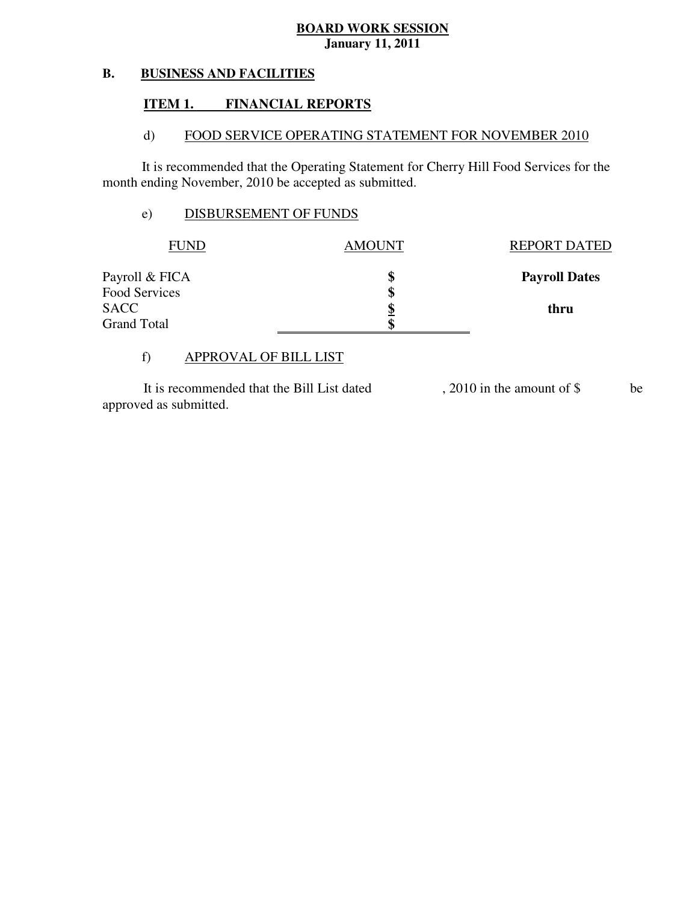#### **B. BUSINESS AND FACILITIES**

#### **ITEM 1. FINANCIAL REPORTS**

#### $\mathbf{d}$ FOOD SERVICE OPERATING STATEMENT FOR NOVEMBER 2010

 It is recommended that the Operating Statement for Cherry Hill Food Services for the month ending November, 2010 be accepted as submitted.

## e) DISBURSEMENT OF FUNDS

| FUND               | <b>AMOUNT</b> | <b>REPORT DATED</b>  |
|--------------------|---------------|----------------------|
| Payroll & FICA     |               | <b>Payroll Dates</b> |
| Food Services      | S             |                      |
| <b>SACC</b>        |               | thru                 |
| <b>Grand Total</b> |               |                      |

# f) APPROVAL OF BILL LIST

 approved as submitted. It is recommended that the Bill List dated , 2010 in the amount of \$ be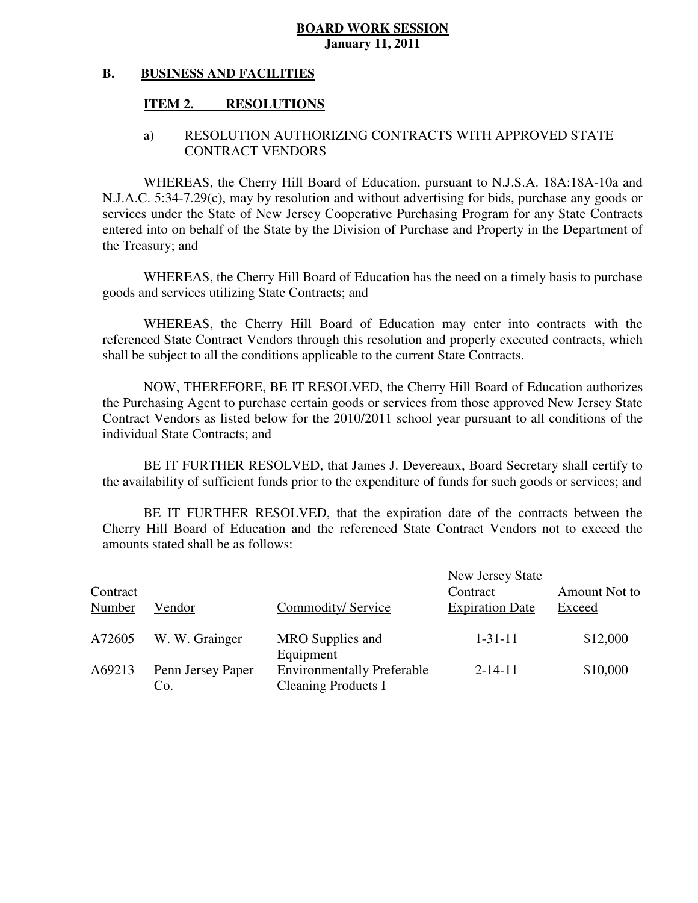#### **B. BUSINESS AND FACILITIES**

#### **ITEM 2. RESOLUTIONS**

## a) RESOLUTION AUTHORIZING CONTRACTS WITH APPROVED STATE CONTRACT VENDORS

 WHEREAS, the Cherry Hill Board of Education, pursuant to N.J.S.A. 18A:18A-10a and N.J.A.C. 5:34-7.29(c), may by resolution and without advertising for bids, purchase any goods or services under the State of New Jersey Cooperative Purchasing Program for any State Contracts entered into on behalf of the State by the Division of Purchase and Property in the Department of the Treasury; and

 WHEREAS, the Cherry Hill Board of Education has the need on a timely basis to purchase goods and services utilizing State Contracts; and

 WHEREAS, the Cherry Hill Board of Education may enter into contracts with the referenced State Contract Vendors through this resolution and properly executed contracts, which shall be subject to all the conditions applicable to the current State Contracts.

 NOW, THEREFORE, BE IT RESOLVED, the Cherry Hill Board of Education authorizes the Purchasing Agent to purchase certain goods or services from those approved New Jersey State Contract Vendors as listed below for the 2010/2011 school year pursuant to all conditions of the individual State Contracts; and

 the availability of sufficient funds prior to the expenditure of funds for such goods or services; and BE IT FURTHER RESOLVED, that James J. Devereaux, Board Secretary shall certify to

 Cherry Hill Board of Education and the referenced State Contract Vendors not to exceed the amounts stated shall be as follows: BE IT FURTHER RESOLVED, that the expiration date of the contracts between the

| Contract<br>Number | Vendor                   | Commodity/Service                                                            | New Jersey State<br>Contract<br><b>Expiration Date</b> | Amount Not to<br>Exceed |
|--------------------|--------------------------|------------------------------------------------------------------------------|--------------------------------------------------------|-------------------------|
| A72605             | W. W. Grainger           | MRO Supplies and                                                             | $1 - 31 - 11$                                          | \$12,000                |
| A69213             | Penn Jersey Paper<br>Co. | Equipment<br><b>Environmentally Preferable</b><br><b>Cleaning Products I</b> | $2 - 14 - 11$                                          | \$10,000                |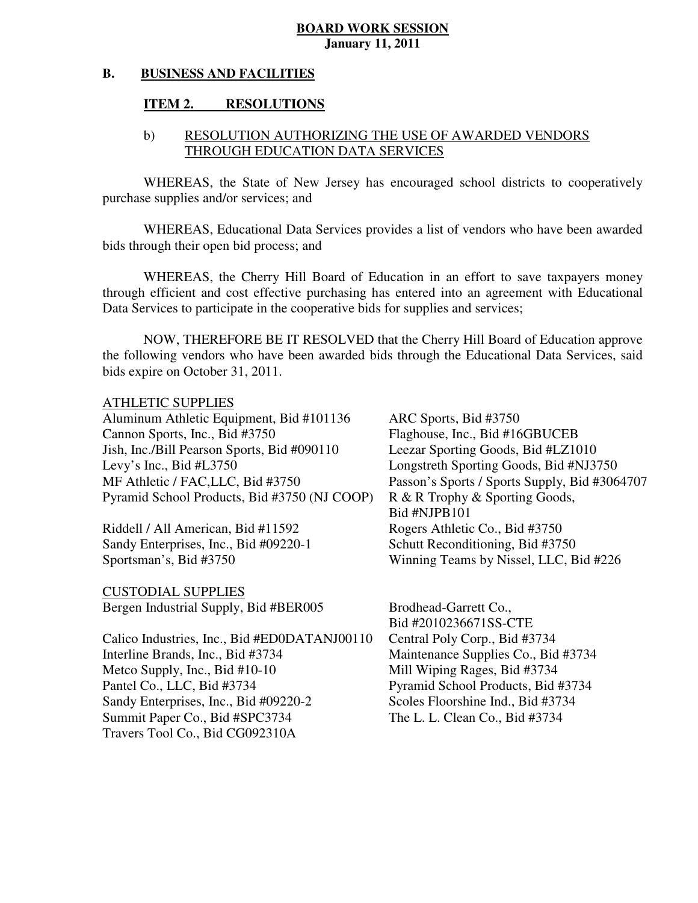#### **B. BUSINESS AND FACILITIES**

#### **ITEM 2. RESOLUTIONS**

## b) RESOLUTION AUTHORIZING THE USE OF AWARDED VENDORS THROUGH EDUCATION DATA SERVICES

WHEREAS, the State of New Jersey has encouraged school districts to cooperatively purchase supplies and/or services; and

 WHEREAS, Educational Data Services provides a list of vendors who have been awarded bids through their open bid process; and

 WHEREAS, the Cherry Hill Board of Education in an effort to save taxpayers money through efficient and cost effective purchasing has entered into an agreement with Educational Data Services to participate in the cooperative bids for supplies and services;

 NOW, THEREFORE BE IT RESOLVED that the Cherry Hill Board of Education approve the following vendors who have been awarded bids through the Educational Data Services, said bids expire on October 31, 2011.

## ATHLETIC SUPPLIES

Aluminum Athletic Equipment, Bid #101136 ARC Sports, Bid #3750 Cannon Sports, Inc., Bid #3750 Jish, Inc./Bill Pearson Sports, Bid #090110 Leezar Sporting Goods, Bid #LZ1010 Levy's Inc., Bid  $#L3750$ MF Athletic / FAC, LLC, Bid #3750 Pyramid School Products, Bid #3750 (NJ COOP) R & R Trophy & Sporting Goods,

Riddell / All American, Bid #11592 Rogers Athletic Co., Bid #3750 Sandy Enterprises, Inc., Bid #09220-1 Schutt Reconditioning, Bid #3750 Sportsman's, Bid #3750

 CUSTODIAL SUPPLIES Bergen Industrial Supply, Bid #BER005 Brodhead-Garrett Co.,

Calico Industries, Inc., Bid #ED0DATANJ00110 Central Poly Corp., Bid #3734 Interline Brands, Inc., Bid #3734 Metco Supply, Inc., Bid  $#10-10$  Mill Wiping Rages, Bid  $#3734$ Pantel Co., LLC, Bid #3734 Sandy Enterprises, Inc., Bid #09220-2 Scoles Floorshine Ind., Bid #3734 Summit Paper Co., Bid #SPC3734 The L. L. Clean Co., Bid #3734 Travers Tool Co., Bid CG092310A

 Bid #NJPB101 Flaghouse, Inc., Bid #16GBUCEB Longstreth Sporting Goods, Bid #NJ3750 Passon's Sports / Sports Supply, Bid #3064707 Winning Teams by Nissel, LLC, Bid #226

Bid #2010236671SS-CTE Maintenance Supplies Co., Bid #3734 Pyramid School Products, Bid #3734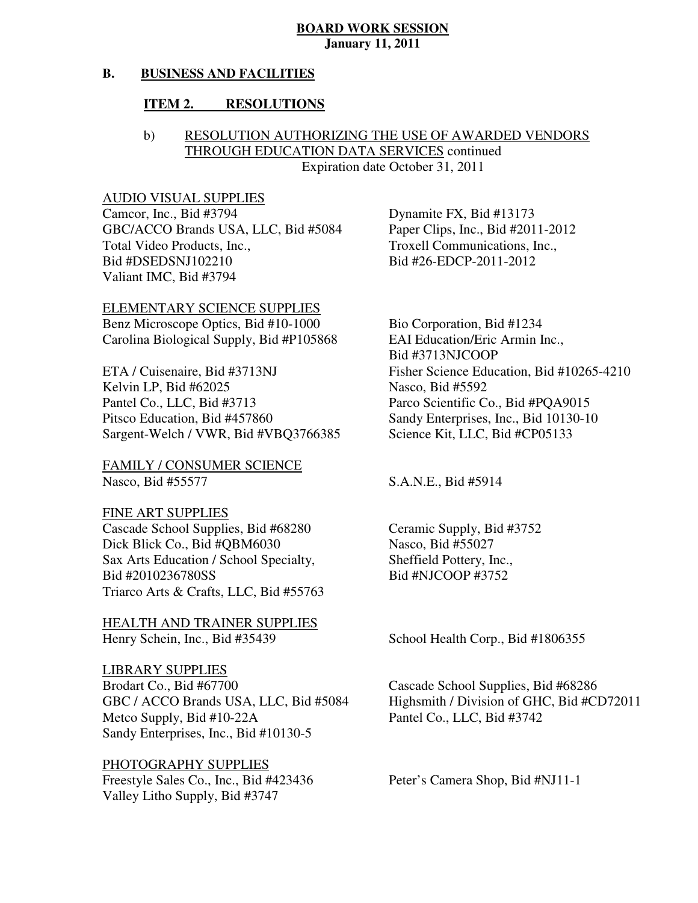#### **B. BUSINESS AND FACILITIES**

#### **ITEM 2. RESOLUTIONS**

## b) RESOLUTION AUTHORIZING THE USE OF AWARDED VENDORS THROUGH EDUCATION DATA SERVICES continued Expiration date October 31, 2011

## AUDIO VISUAL SUPPLIES

Camcor, Inc., Bid #3794 GBC/ACCO Brands USA, LLC, Bid #5084 Paper Clips, Inc., Bid #2011-2012 Total Video Products, Inc., Valiant IMC, Bid #3794 Bid #DSEDSNJ102210 Bid #26-EDCP-2011-2012

 ELEMENTARY SCIENCE SUPPLIES Benz Microscope Optics, Bid  $#10-1000$  Bio Corporation, Bid  $#1234$ Carolina Biological Supply, Bid #P105868 EAI Education/Eric Armin Inc.,

ETA / Cuisenaire, Bid #3713NJ Kelvin LP, Bid #62025 Nasco, Bid #5592 Pantel Co., LLC, Bid #3713 Pitsco Education, Bid #457860 Sargent-Welch / VWR, Bid #VBO3766385 Science Kit, LLC, Bid #CP05133

 FAMILY / CONSUMER SCIENCE Nasco, Bid #55577

 FINE ART SUPPLIES Cascade School Supplies, Bid #68280 Ceramic Supply, Bid #3752 Dick Blick Co., Bid  $#OBM6030$  Nasco, Bid  $#55027$ Sax Arts Education / School Specialty, Sheffield Pottery, Inc., Bid #2010236780SS Bid #NJCOOP #3752 Triarco Arts & Crafts, LLC, Bid #55763

 HEALTH AND TRAINER SUPPLIES Henry Schein, Inc., Bid #35439

 LIBRARY SUPPLIES Brodart Co., Bid #67700 Metco Supply, Bid #10-22A Pantel Co., LLC, Bid #3742 Sandy Enterprises, Inc., Bid #10130-5

## PHOTOGRAPHY SUPPLIES

Freestyle Sales Co., Inc., Bid #423436 Peter's Camera Shop, Bid #NJ11-1 Valley Litho Supply, Bid #3747

Dynamite FX, Bid #13173 Troxell Communications, Inc.,

Bid #3713NJCOOP Fisher Science Education, Bid #10265-4210 Parco Scientific Co., Bid #PQA9015 Sandy Enterprises, Inc., Bid 10130-10

S.A.N.E., Bid #5914

School Health Corp., Bid #1806355

GBC / ACCO Brands USA, LLC, Bid #5084 Highsmith / Division of GHC, Bid #CD72011 Cascade School Supplies, Bid #68286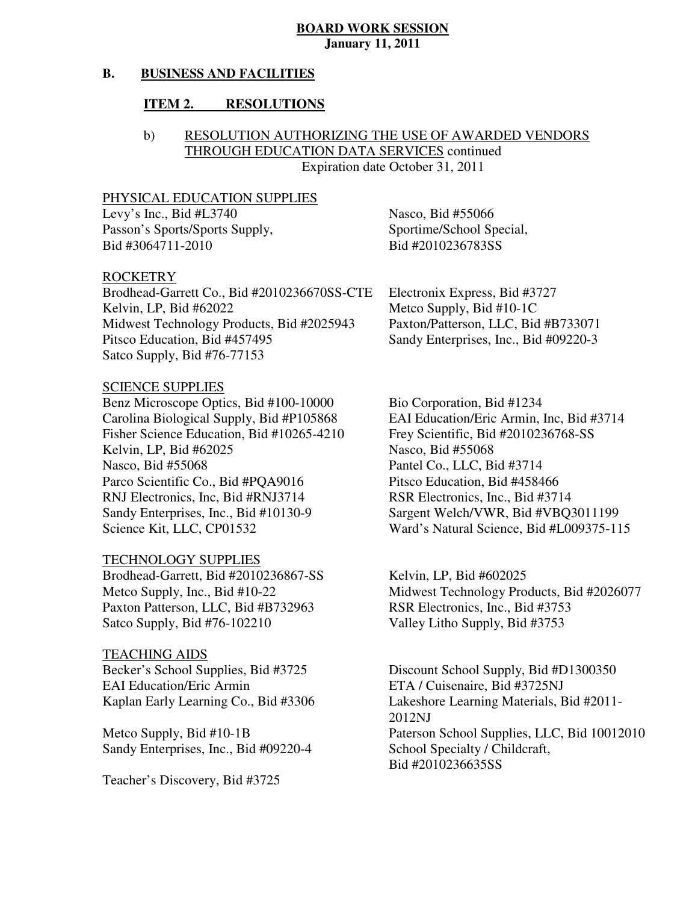#### **B. BUSINESS AND FACILITIES**

#### **ITEM 2. RESOLUTIONS**

## b) RESOLUTION AUTHORIZING THE USE OF AWARDED VENDORS THROUGH EDUCATION DATA SERVICES continued Expiration date October 31, 2011

## PHYSICAL EDUCATION SUPPLIES

Levy's Inc., Bid  $#L3740$  Nasco, Bid  $#55066$ Passon's Sports/Sports Supply, Sportime/School Special, Bid #3064711-2010 Bid #2010236783SS

#### ROCKETRY

 Brodhead-Garrett Co., Bid #2010236670SS-CTE Electronix Express, Bid #3727 Kelvin, LP, Bid #62022 Midwest Technology Products, Bid #2025943 Paxton/Patterson, LLC, Bid #B733071 Pitsco Education, Bid #457495 Satco Supply, Bid #76-77153

## SCIENCE SUPPLIES

 Benz Microscope Optics, Bid #100-10000 Bio Corporation, Bid #1234 Carolina Biological Supply, Bid #P105868 Fisher Science Education, Bid #10265-4210 Frey Scientific, Bid #2010236768-SS Kelvin, LP, Bid  $\#62025$  Nasco, Bid  $\#55068$ Nasco, Bid #55068 Parco Scientific Co., Bid #POA9016 Pitsco Education, Bid #458466 RNJ Electronics, Inc. Bid #RNJ3714 RSR Electronics, Inc., Bid #3714 Sandy Enterprises, Inc., Bid #10130-9 Science Kit, LLC, CP01532

## TECHNOLOGY SUPPLIES

 $\overline{B}$ rodhead-Garrett, Bid #2010236867-SS Kelvin, LP, Bid #602025 Metco Supply, Inc., Bid #10-22 Paxton Patterson, LLC, Bid #B732963 RSR Electronics, Inc., Bid #3753 Satco Supply, Bid #76-102210

## TEACHING AIDS

Becker's School Supplies, Bid #3725 **EAI** Education/Eric Armin Kaplan Early Learning Co., Bid #3306

Metco Supply, Bid #10-1B Sandy Enterprises, Inc., Bid #09220-4 School Specialty / Childcraft,

Teacher's Discovery, Bid #3725

Metco Supply, Bid  $#10-1C$ Sandy Enterprises, Inc., Bid #09220-3

EAI Education/Eric Armin, Inc, Bid #3714 Pantel Co., LLC, Bid #3714 Sargent Welch/VWR, Bid #VBQ3011199 Ward's Natural Science, Bid #L009375-115

Midwest Technology Products, Bid #2026077 Valley Litho Supply, Bid #3753

Discount School Supply, Bid #D1300350 ETA / Cuisenaire, Bid #3725NJ Lakeshore Learning Materials, Bid #2011-2012NJ Paterson School Supplies, LLC, Bid 10012010 Bid #2010236635SS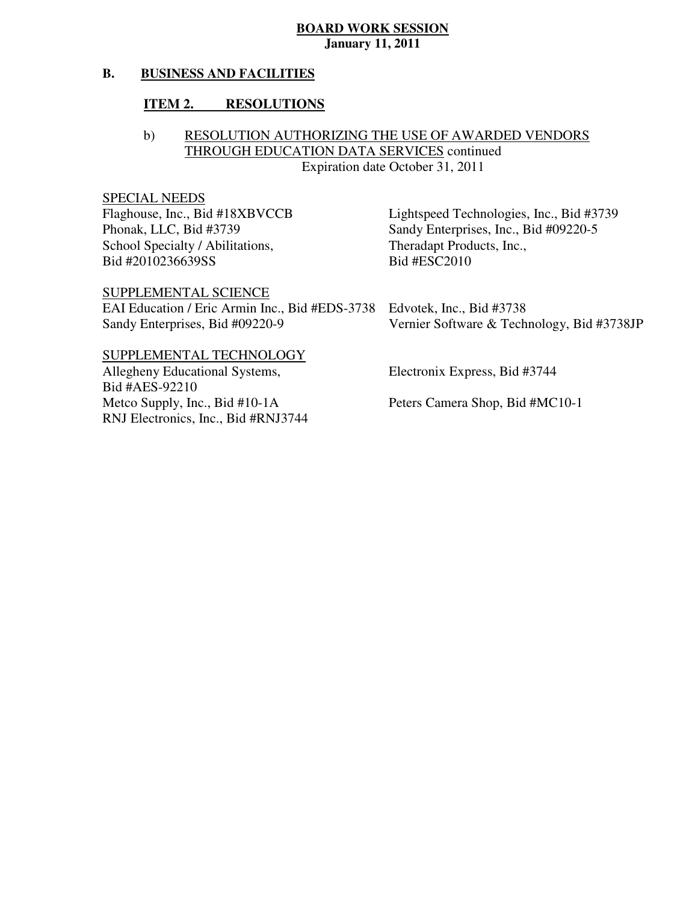#### **B. BUSINESS AND FACILITIES**

#### **ITEM 2. RESOLUTIONS**

## b) RESOLUTION AUTHORIZING THE USE OF AWARDED VENDORS THROUGH EDUCATION DATA SERVICES continued Expiration date October 31, 2011

## SPECIAL NEEDS

Flaghouse, Inc., Bid #18XBVCCB Phonak, LLC, Bid #3739 School Specialty / Abilitations, Theradapt Products, Inc., Bid #2010236639SS

Bid #ESC2010 Lightspeed Technologies, Inc., Bid #3739 Sandy Enterprises, Inc., Bid #09220-5

SUPPLEMENTAL SCIENCE

 EAI Education / Eric Armin Inc., Bid #EDS-3738 Edvotek, Inc., Bid #3738 Sandy Enterprises, Bid #09220-9 Vernier Software & Technology, Bid #3738JP

#### SUPPLEMENTAL TECHNOLOGY

Allegheny Educational Systems, Electronix Express, Bid #3744 Metco Supply, Inc., Bid #10-1A RNJ Electronics, Inc., Bid #RNJ3744 Bid #AES-92210

Peters Camera Shop, Bid #MC10-1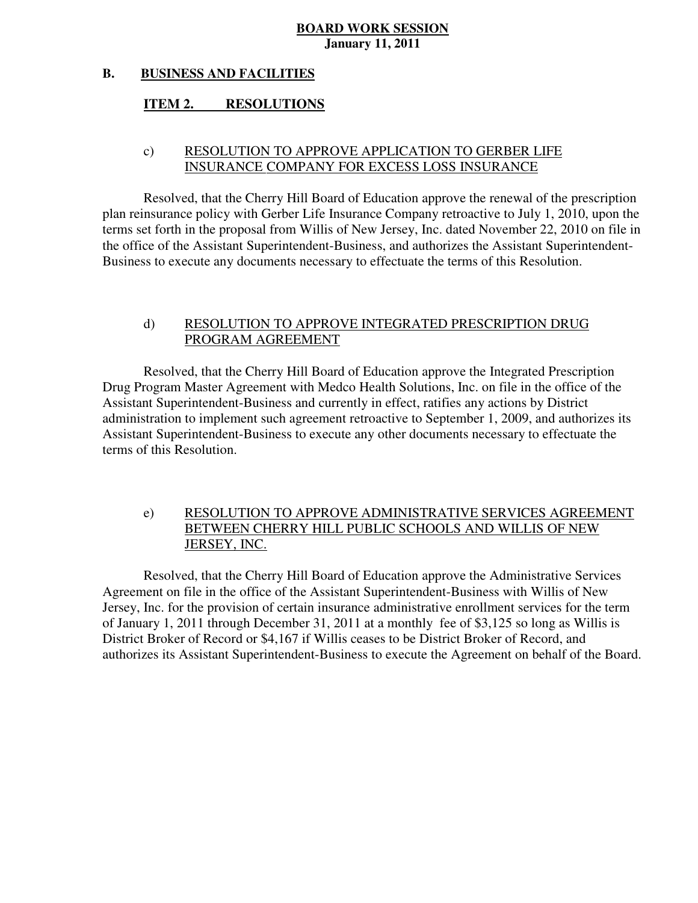#### **B. BUSINESS AND FACILITIES**

#### **ITEM 2. RESOLUTIONS**

## c) RESOLUTION TO APPROVE APPLICATION TO GERBER LIFE INSURANCE COMPANY FOR EXCESS LOSS INSURANCE

 Resolved, that the Cherry Hill Board of Education approve the renewal of the prescription plan reinsurance policy with Gerber Life Insurance Company retroactive to July 1, 2010, upon the terms set forth in the proposal from Willis of New Jersey, Inc. dated November 22, 2010 on file in the office of the Assistant Superintendent-Business, and authorizes the Assistant Superintendent-Business to execute any documents necessary to effectuate the terms of this Resolution.

## d) RESOLUTION TO APPROVE INTEGRATED PRESCRIPTION DRUG PROGRAM AGREEMENT

 Resolved, that the Cherry Hill Board of Education approve the Integrated Prescription Drug Program Master Agreement with Medco Health Solutions, Inc. on file in the office of the Assistant Superintendent-Business and currently in effect, ratifies any actions by District administration to implement such agreement retroactive to September 1, 2009, and authorizes its terms of this Resolution. Assistant Superintendent-Business to execute any other documents necessary to effectuate the

## e) RESOLUTION TO APPROVE ADMINISTRATIVE SERVICES AGREEMENT BETWEEN CHERRY HILL PUBLIC SCHOOLS AND WILLIS OF NEW JERSEY, INC.

 Resolved, that the Cherry Hill Board of Education approve the Administrative Services Agreement on file in the office of the Assistant Superintendent-Business with Willis of New Jersey, Inc. for the provision of certain insurance administrative enrollment services for the term of January 1, 2011 through December 31, 2011 at a monthly fee of \$3,125 so long as Willis is District Broker of Record or \$4,167 if Willis ceases to be District Broker of Record, and authorizes its Assistant Superintendent-Business to execute the Agreement on behalf of the Board.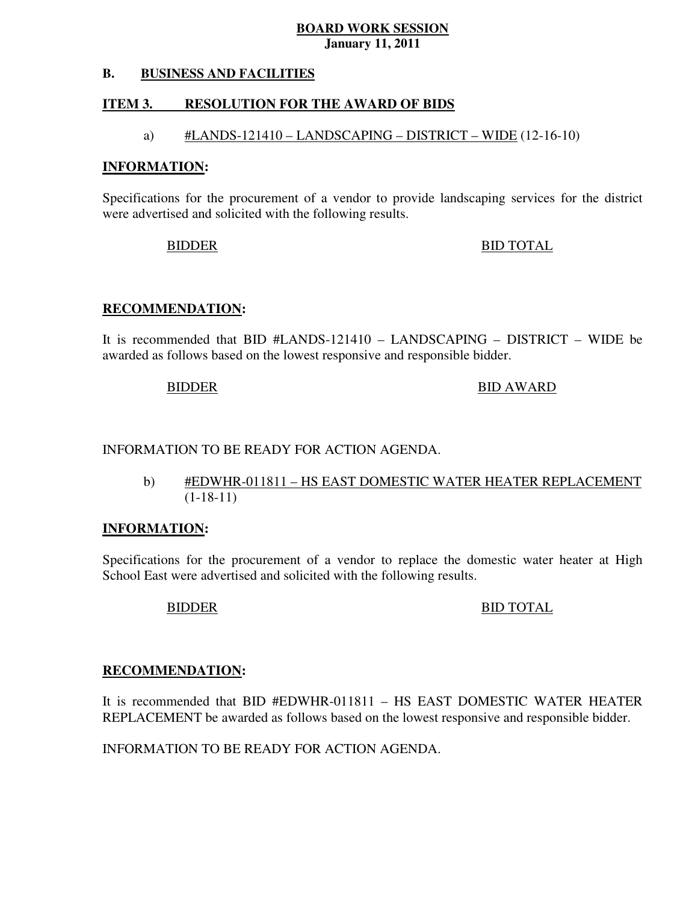#### **B. B. BUSINESS AND FACILITIES**

#### **ITEM 3. RESOLUTION FOR THE AWARD OF BIDS**

## a)  $\#LANDS-121410 - LANDSCAPING - DISTRICT - WIDE (12-16-10)$

#### **INFORMATION:**

 Specifications for the procurement of a vendor to provide landscaping services for the district were advertised and solicited with the following results.

BIDDER BID TOTAL

#### **RECOMMENDATION:**

 It is recommended that BID #LANDS-121410 – LANDSCAPING – DISTRICT – WIDE be awarded as follows based on the lowest responsive and responsible bidder.

BIDDER BID AWARD

## INFORMATION TO BE READY FOR ACTION AGENDA.

 b) #EDWHR-011811 – HS EAST DOMESTIC WATER HEATER REPLACEMENT (1-18-11)

#### **INFORMATION:**

 Specifications for the procurement of a vendor to replace the domestic water heater at High School East were advertised and solicited with the following results.

## BIDDER BID TOTAL

### **RECOMMENDATION:**

 It is recommended that BID #EDWHR-011811 – HS EAST DOMESTIC WATER HEATER REPLACEMENT be awarded as follows based on the lowest responsive and responsible bidder.

INFORMATION TO BE READY FOR ACTION AGENDA.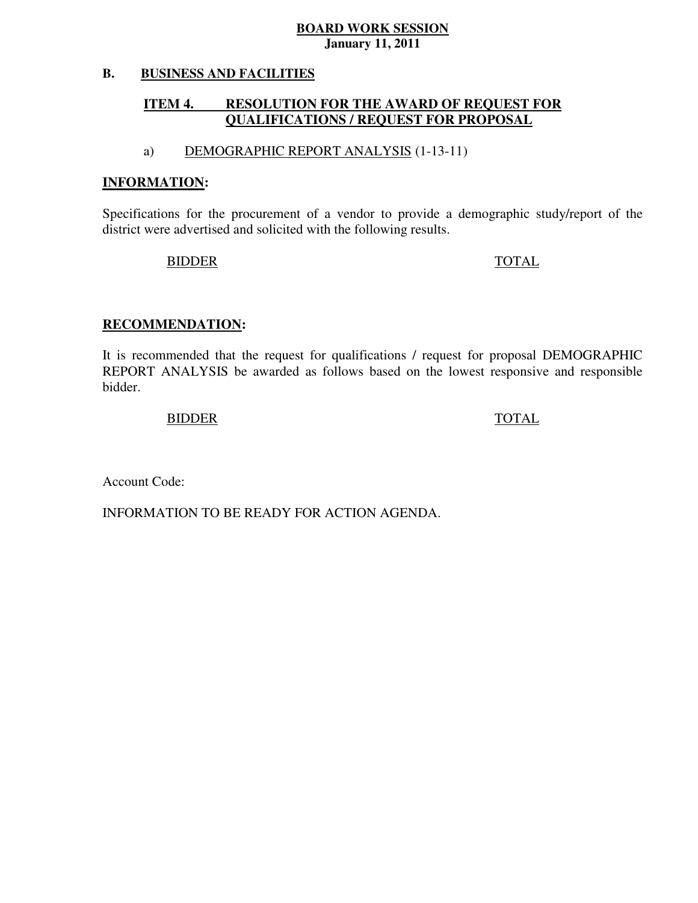#### **B. BUSINESS AND FACILITIES**

#### **ITEM 4. QUALIFICATIONS / REQUEST FOR PROPOSAL RESOLUTION FOR THE AWARD OF REQUEST FOR**

## a) DEMOGRAPHIC REPORT ANALYSIS (1-13-11)

#### **INFORMATION:**

 Specifications for the procurement of a vendor to provide a demographic study/report of the district were advertised and solicited with the following results.

## BIDDER TOTAL

#### **RECOMMENDATION:**

 It is recommended that the request for qualifications / request for proposal DEMOGRAPHIC REPORT ANALYSIS be awarded as follows based on the lowest responsive and responsible bidder.

#### BIDDER TOTAL

Account Code:

INFORMATION TO BE READY FOR ACTION AGENDA.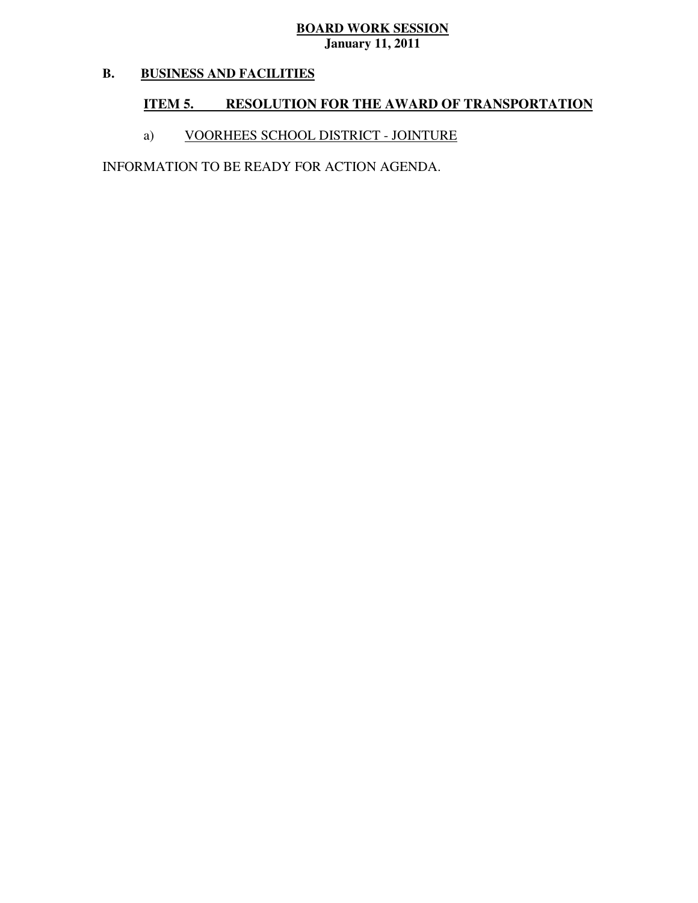#### **B. BUSINESS AND FACILITIES**

## **ITEM 5. RESOLUTION FOR THE AWARD OF TRANSPORTATION**

## a) VOORHEES SCHOOL DISTRICT - JOINTURE

INFORMATION TO BE READY FOR ACTION AGENDA.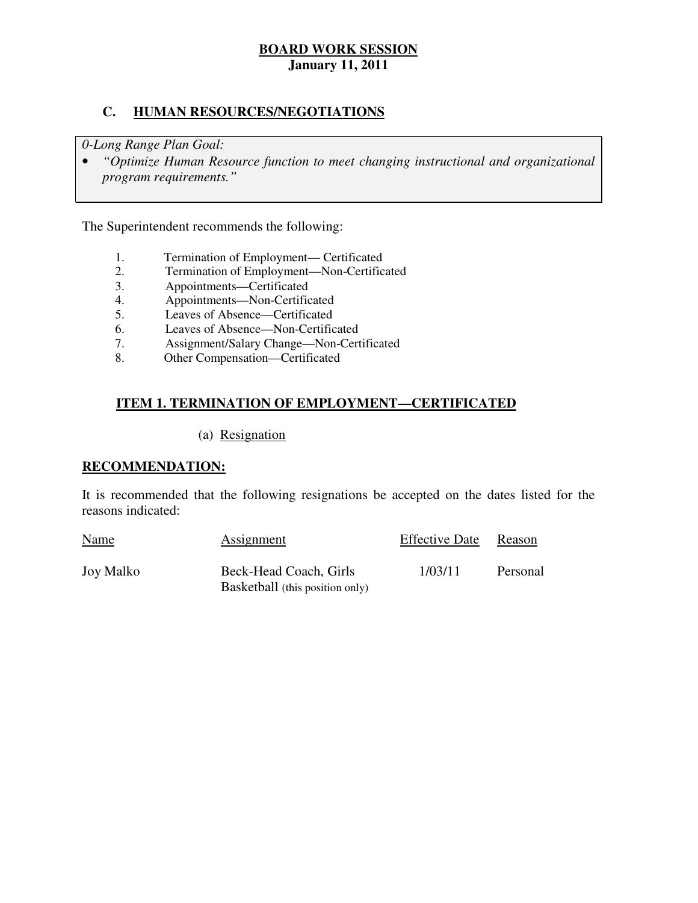## **C. HUMAN RESOURCES/NEGOTIATIONS**

 *0-Long Range Plan Goal:* 

**•** "Optimize Human Resource function to meet changing instructional and organizational *program requirements."* 

The Superintendent recommends the following:

- 1. Termination of Employment— Certificated
- 2. Termination of Employment—Non-Certificated
- 3. Appointments—Certificated
- 4. Appointments—Non-Certificated
- 5. Leaves of Absence—Certificated
- 6. Leaves of Absence—Non-Certificated
- 7. Assignment/Salary Change—Non-Certificated
- 8. Other Compensation—Certificated

## **ITEM 1. TERMINATION OF EMPLOYMENT—CERTIFICATED**

(a) Resignation

### **RECOMMENDATION:**

 It is recommended that the following resignations be accepted on the dates listed for the reasons indicated:

| <b>Name</b>      | Assignment                                                | <b>Effective Date</b> | Reason   |
|------------------|-----------------------------------------------------------|-----------------------|----------|
| <b>Joy Malko</b> | Beck-Head Coach, Girls<br>Basketball (this position only) | 1/03/11               | Personal |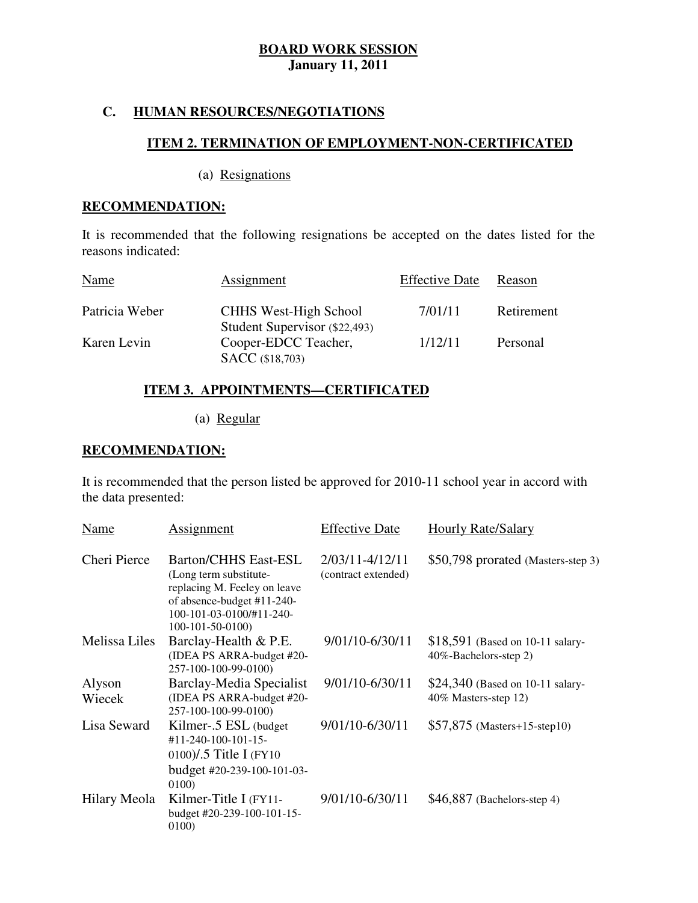## **C. HUMAN RESOURCES/NEGOTIATIONS**

## **ITEM 2. TERMINATION OF EMPLOYMENT-NON-CERTIFICATED**

(a) Resignations

### **RECOMMENDATION:**

 It is recommended that the following resignations be accepted on the dates listed for the reasons indicated:

| Name           | Assignment                                                    | <b>Effective Date</b> | Reason     |
|----------------|---------------------------------------------------------------|-----------------------|------------|
| Patricia Weber | <b>CHHS West-High School</b><br>Student Supervisor (\$22,493) | 7/01/11               | Retirement |
| Karen Levin    | Cooper-EDCC Teacher,<br><b>SACC</b> (\$18,703)                | 1/12/11               | Personal   |

## **ITEM 3. APPOINTMENTS—CERTIFICATED**

(a) Regular

### **RECOMMENDATION:**

 It is recommended that the person listed be approved for 2010-11 school year in accord with the data presented:

| Name                 | Assignment                                                                                                                                                           | <b>Effective Date</b>                  | <b>Hourly Rate/Salary</b>                                  |
|----------------------|----------------------------------------------------------------------------------------------------------------------------------------------------------------------|----------------------------------------|------------------------------------------------------------|
| Cheri Pierce         | <b>Barton/CHHS East-ESL</b><br>(Long term substitute-<br>replacing M. Feeley on leave<br>of absence-budget #11-240-<br>100-101-03-0100/#11-240-<br>$100-101-50-0100$ | 2/03/11-4/12/11<br>(contract extended) | \$50,798 prorated (Masters-step 3)                         |
| <b>Melissa Liles</b> | Barclay-Health & P.E.<br>(IDEA PS ARRA-budget #20-<br>257-100-100-99-0100)                                                                                           | 9/01/10-6/30/11                        | $$18,591$ (Based on 10-11 salary-<br>40%-Bachelors-step 2) |
| Alyson<br>Wiecek     | Barclay-Media Specialist<br>(IDEA PS ARRA-budget #20-<br>257-100-100-99-0100)                                                                                        | 9/01/10-6/30/11                        | \$24,340 (Based on 10-11 salary-<br>40% Masters-step 12)   |
| Lisa Seward          | Kilmer-.5 ESL (budget<br>#11-240-100-101-15-<br>0100)/.5 Title I (FY10<br>budget #20-239-100-101-03-<br>0100)                                                        | 9/01/10-6/30/11                        | $$57,875$ (Masters+15-step10)                              |
| Hilary Meola         | Kilmer-Title I (FY11-<br>budget #20-239-100-101-15-<br>0100)                                                                                                         | 9/01/10-6/30/11                        | $$46,887$ (Bachelors-step 4)                               |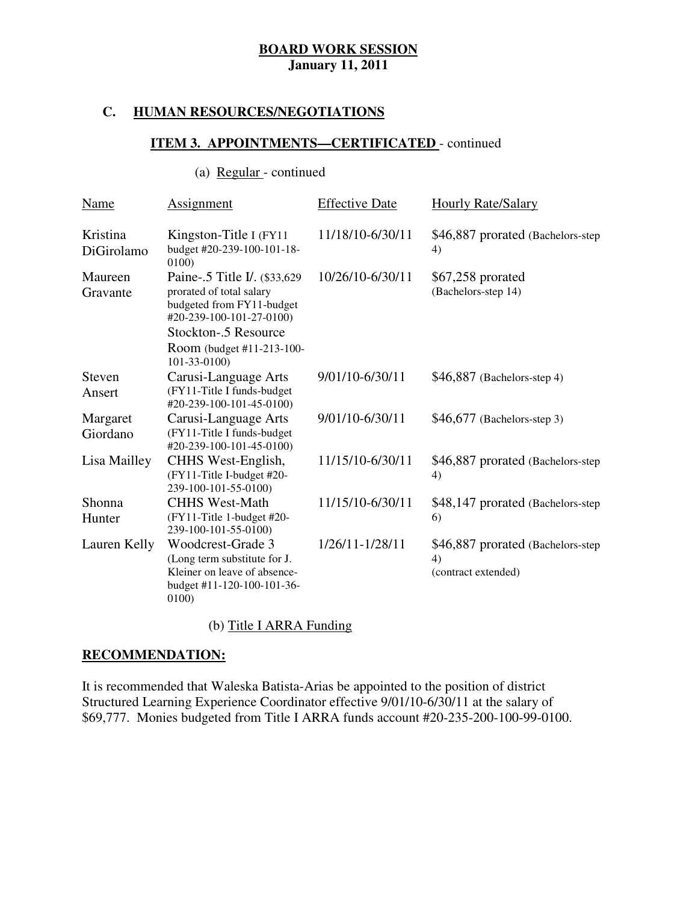#### **C. HUMAN RESOURCES/NEGOTIATIONS**

## **ITEM 3. APPOINTMENTS—CERTIFICATED** - continued

## (a) Regular - continued

| <b>Name</b>            | <b>Assignment</b>                                                                                                                                                                      | <b>Effective Date</b> | <b>Hourly Rate/Salary</b>                                       |
|------------------------|----------------------------------------------------------------------------------------------------------------------------------------------------------------------------------------|-----------------------|-----------------------------------------------------------------|
| Kristina<br>DiGirolamo | Kingston-Title I (FY11)<br>budget #20-239-100-101-18-<br>0100)                                                                                                                         | 11/18/10-6/30/11      | \$46,887 prorated (Bachelors-step)<br>4)                        |
| Maureen<br>Gravante    | Paine-.5 Title I. (\$33,629)<br>prorated of total salary<br>budgeted from FY11-budget<br>#20-239-100-101-27-0100)<br>Stockton-.5 Resource<br>Room (budget #11-213-100-<br>101-33-0100) | 10/26/10-6/30/11      | \$67,258 prorated<br>(Bachelors-step 14)                        |
| Steven<br>Ansert       | Carusi-Language Arts<br>(FY11-Title I funds-budget<br>#20-239-100-101-45-0100)                                                                                                         | 9/01/10-6/30/11       | $$46,887$ (Bachelors-step 4)                                    |
| Margaret<br>Giordano   | Carusi-Language Arts<br>(FY11-Title I funds-budget<br>#20-239-100-101-45-0100)                                                                                                         | 9/01/10-6/30/11       | $$46,677$ (Bachelors-step 3)                                    |
| Lisa Mailley           | CHHS West-English,<br>(FY11-Title I-budget #20-<br>239-100-101-55-0100)                                                                                                                | 11/15/10-6/30/11      | \$46,887 prorated (Bachelors-step)<br>4)                        |
| Shonna<br>Hunter       | <b>CHHS West-Math</b><br>(FY11-Title 1-budget #20-<br>239-100-101-55-0100)                                                                                                             | 11/15/10-6/30/11      | \$48,147 prorated (Bachelors-step)<br>6)                        |
| Lauren Kelly           | Woodcrest-Grade 3<br>(Long term substitute for J.<br>Kleiner on leave of absence-<br>budget #11-120-100-101-36-<br>0100                                                                | 1/26/11-1/28/11       | \$46,887 prorated (Bachelors-step)<br>4)<br>(contract extended) |

### (b) Title I ARRA Funding

## **RECOMMENDATION:**

 It is recommended that Waleska Batista-Arias be appointed to the position of district Structured Learning Experience Coordinator effective 9/01/10-6/30/11 at the salary of \$69,777. Monies budgeted from Title I ARRA funds account #20-235-200-100-99-0100.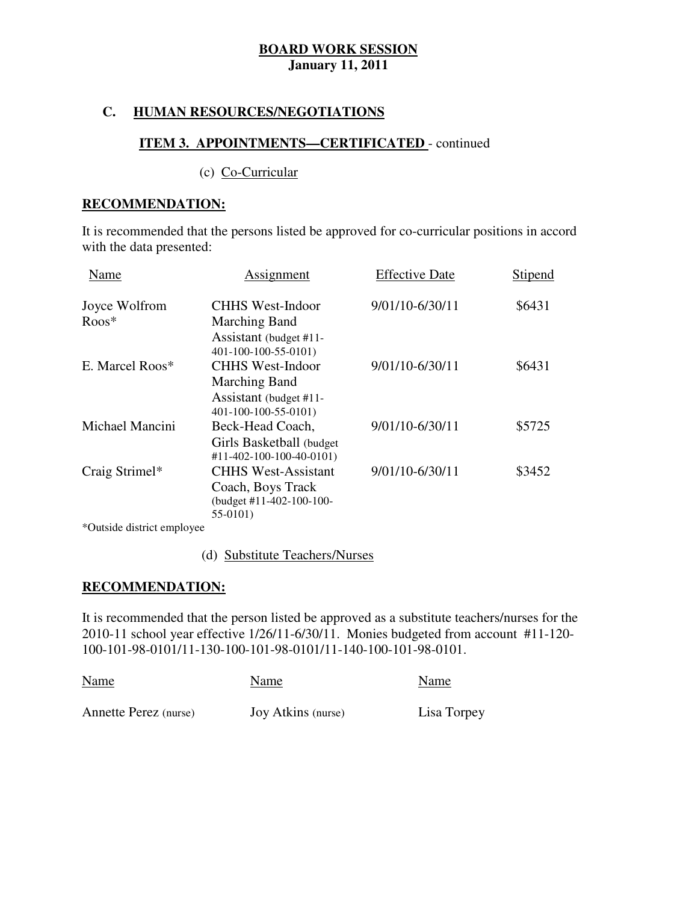## **C. HUMAN RESOURCES/NEGOTIATIONS**

## **ITEM 3. APPOINTMENTS—CERTIFICATED** - continued

(c) Co-Curricular

#### **RECOMMENDATION:**

 It is recommended that the persons listed be approved for co-curricular positions in accord with the data presented:

| Name            | Assignment                                     | <b>Effective Date</b> | Stipend |
|-----------------|------------------------------------------------|-----------------------|---------|
| Joyce Wolfrom   | <b>CHHS West-Indoor</b>                        | 9/01/10-6/30/11       | \$6431  |
| $R$ oos $*$     | Marching Band                                  |                       |         |
|                 | Assistant (budget #11-<br>401-100-100-55-0101) |                       |         |
| E. Marcel Roos* | <b>CHHS West-Indoor</b>                        | 9/01/10-6/30/11       | \$6431  |
|                 | Marching Band                                  |                       |         |
|                 | Assistant (budget #11-                         |                       |         |
|                 | 401-100-100-55-0101)                           |                       |         |
| Michael Mancini | Beck-Head Coach,                               | 9/01/10-6/30/11       | \$5725  |
|                 | Girls Basketball (budget                       |                       |         |
|                 | #11-402-100-100-40-0101)                       |                       |         |
| Craig Strimel*  | <b>CHHS West-Assistant</b>                     | 9/01/10-6/30/11       | \$3452  |
|                 | Coach, Boys Track                              |                       |         |
|                 | (budget #11-402-100-100-                       |                       |         |
|                 | 55-0101)                                       |                       |         |

\*Outside district employee

(d) Substitute Teachers/Nurses

## **RECOMMENDATION:**

 It is recommended that the person listed be approved as a substitute teachers/nurses for the 2010-11 school year effective  $1/26/11-6/30/11$ . Monies budgeted from account #11-120-100-101-98-0101/11-130-100-101-98-0101/11-140-100-101-98-0101.

| <b>Name</b>           | Name               | Name        |
|-----------------------|--------------------|-------------|
| Annette Perez (nurse) | Joy Atkins (nurse) | Lisa Torpey |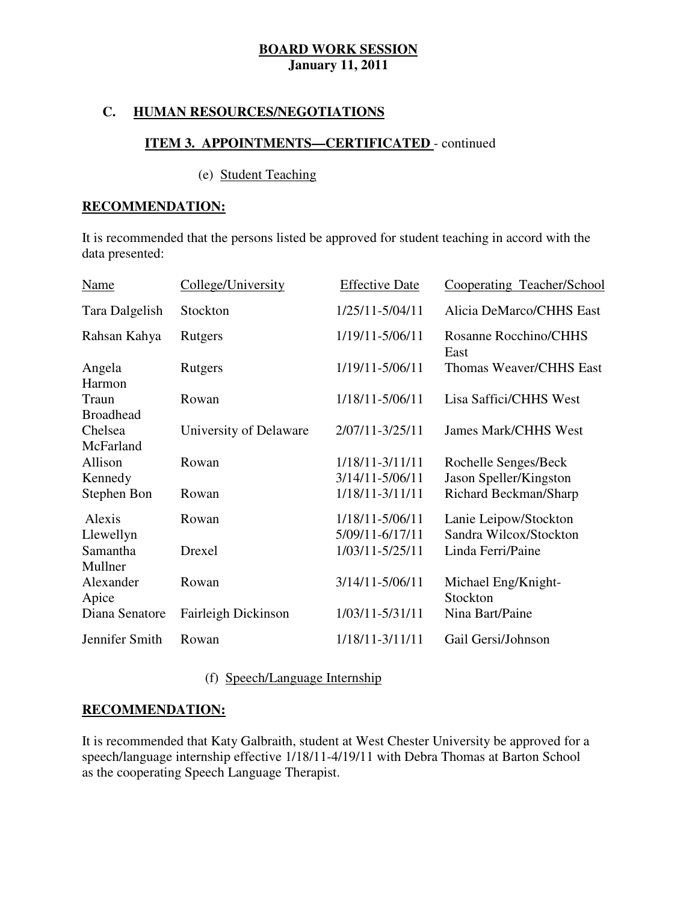## **C. HUMAN RESOURCES/NEGOTIATIONS**

## **ITEM 3. APPOINTMENTS—CERTIFICATED** - continued

#### (e) Student Teaching

### **RECOMMENDATION:**

 It is recommended that the persons listed be approved for student teaching in accord with the data presented:

| <b>Name</b>               | College/University     | <b>Effective Date</b>              | Cooperating Teacher/School                      |
|---------------------------|------------------------|------------------------------------|-------------------------------------------------|
| Tara Dalgelish            | Stockton               | 1/25/11-5/04/11                    | Alicia DeMarco/CHHS East                        |
| Rahsan Kahya              | Rutgers                | 1/19/11-5/06/11                    | Rosanne Rocchino/CHHS<br>East                   |
| Angela<br>Harmon          | Rutgers                | 1/19/11-5/06/11                    | Thomas Weaver/CHHS East                         |
| Traun<br><b>Broadhead</b> | Rowan                  | 1/18/11-5/06/11                    | Lisa Saffici/CHHS West                          |
| Chelsea<br>McFarland      | University of Delaware | 2/07/11-3/25/11                    | <b>James Mark/CHHS West</b>                     |
| Allison<br>Kennedy        | Rowan                  | 1/18/11-3/11/11<br>3/14/11-5/06/11 | Rochelle Senges/Beck<br>Jason Speller/Kingston  |
| Stephen Bon               | Rowan                  | 1/18/11-3/11/11                    | Richard Beckman/Sharp                           |
| Alexis<br>Llewellyn       | Rowan                  | 1/18/11-5/06/11<br>5/09/11-6/17/11 | Lanie Leipow/Stockton<br>Sandra Wilcox/Stockton |
| Samantha<br>Mullner       | Drexel                 | 1/03/11-5/25/11                    | Linda Ferri/Paine                               |
| Alexander<br>Apice        | Rowan                  | 3/14/11-5/06/11                    | Michael Eng/Knight-<br>Stockton                 |
| Diana Senatore            | Fairleigh Dickinson    | 1/03/11-5/31/11                    | Nina Bart/Paine                                 |
| Jennifer Smith            | Rowan                  | 1/18/11-3/11/11                    | Gail Gersi/Johnson                              |

(f) Speech/Language Internship

## **RECOMMENDATION:**

 It is recommended that Katy Galbraith, student at West Chester University be approved for a speech/language internship effective 1/18/11-4/19/11 with Debra Thomas at Barton School as the cooperating Speech Language Therapist.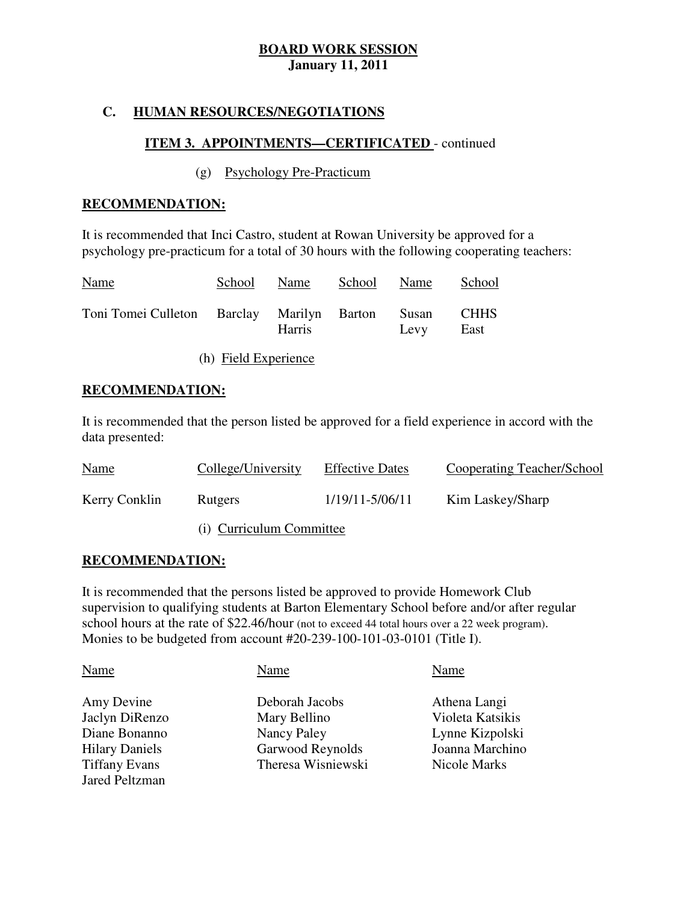## **C. HUMAN RESOURCES/NEGOTIATIONS**

## **ITEM 3. APPOINTMENTS—CERTIFICATED** - continued

### (g) Psychology Pre-Practicum

### **RECOMMENDATION:**

 It is recommended that Inci Castro, student at Rowan University be approved for a psychology pre-practicum for a total of 30 hours with the following cooperating teachers:

| <b>Name</b>                                      | School | Name          | School Name |      | School              |
|--------------------------------------------------|--------|---------------|-------------|------|---------------------|
| Toni Tomei Culleton Barclay Marilyn Barton Susan |        | <b>Harris</b> |             | Levy | <b>CHHS</b><br>East |

(h) Field Experience

### **RECOMMENDATION:**

 It is recommended that the person listed be approved for a field experience in accord with the data presented:

| <b>Name</b>   | College/University       | <b>Effective Dates</b> | <b>Cooperating Teacher/School</b> |
|---------------|--------------------------|------------------------|-----------------------------------|
| Kerry Conklin | <b>Rutgers</b>           | 1/19/11-5/06/11        | Kim Laskey/Sharp                  |
|               | (i) Curriculum Committee |                        |                                   |

**RECOMMENDATION:** 

 It is recommended that the persons listed be approved to provide Homework Club supervision to qualifying students at Barton Elementary School before and/or after regular school hours at the rate of \$22.46/hour (not to exceed 44 total hours over a 22 week program). Monies to be budgeted from account #20-239-100-101-03-0101 (Title I).

| Name                  | Name               | Name             |
|-----------------------|--------------------|------------------|
| Amy Devine            | Deborah Jacobs     | Athena Langi     |
| Jaclyn DiRenzo        | Mary Bellino       | Violeta Katsikis |
| Diane Bonanno         | Nancy Paley        | Lynne Kizpolski  |
| <b>Hilary Daniels</b> | Garwood Reynolds   | Joanna Marchino  |
| <b>Tiffany Evans</b>  | Theresa Wisniewski | Nicole Marks     |
| <b>Jared Peltzman</b> |                    |                  |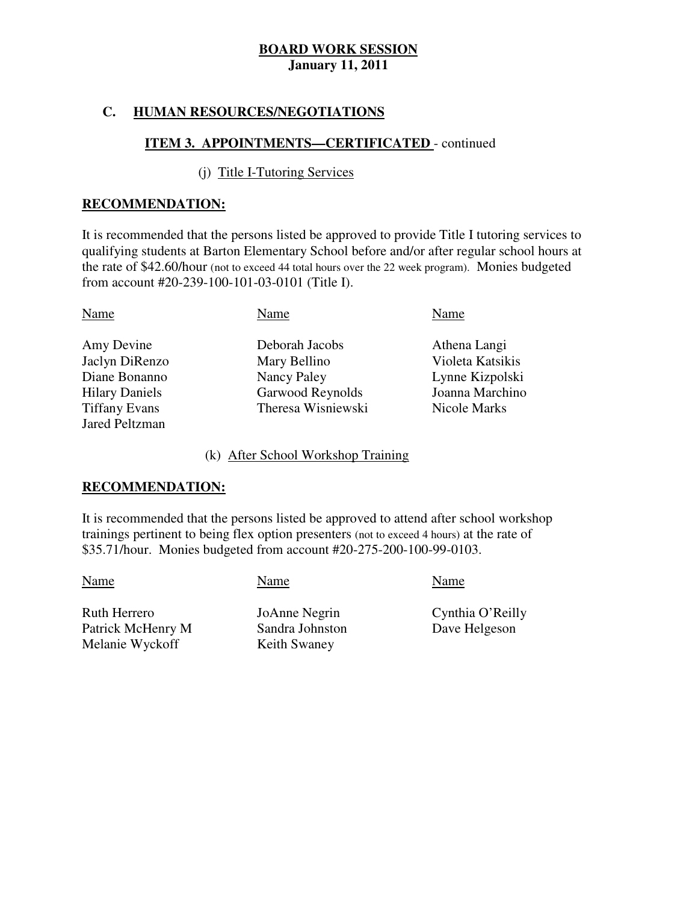## **C. HUMAN RESOURCES/NEGOTIATIONS**

## **ITEM 3. APPOINTMENTS—CERTIFICATED** - continued

### (j) Title I-Tutoring Services

### **RECOMMENDATION:**

 It is recommended that the persons listed be approved to provide Title I tutoring services to qualifying students at Barton Elementary School before and/or after regular school hours at the rate of \$42.60/hour (not to exceed 44 total hours over the 22 week program). Monies budgeted from account #20-239-100-101-03-0101 (Title I).

| Name                  | Name               | Name             |
|-----------------------|--------------------|------------------|
| Amy Devine            | Deborah Jacobs     | Athena Langi     |
| Jaclyn DiRenzo        | Mary Bellino       | Violeta Katsikis |
| Diane Bonanno         | Nancy Paley        | Lynne Kizpolski  |
| <b>Hilary Daniels</b> | Garwood Reynolds   | Joanna Marchino  |
| <b>Tiffany Evans</b>  | Theresa Wisniewski | Nicole Marks     |
| <b>Jared Peltzman</b> |                    |                  |

#### (k) After School Workshop Training

### **RECOMMENDATION:**

 It is recommended that the persons listed be approved to attend after school workshop trainings pertinent to being flex option presenters (not to exceed 4 hours) at the rate of \$35.71/hour. Monies budgeted from account #20-275-200-100-99-0103.

Name Name Name Name

 Ruth Herrero Patrick McHenry M Melanie Wyckoff

JoAnne Negrin Sandra Johnston Keith Swaney

Cynthia O'Reilly Dave Helgeson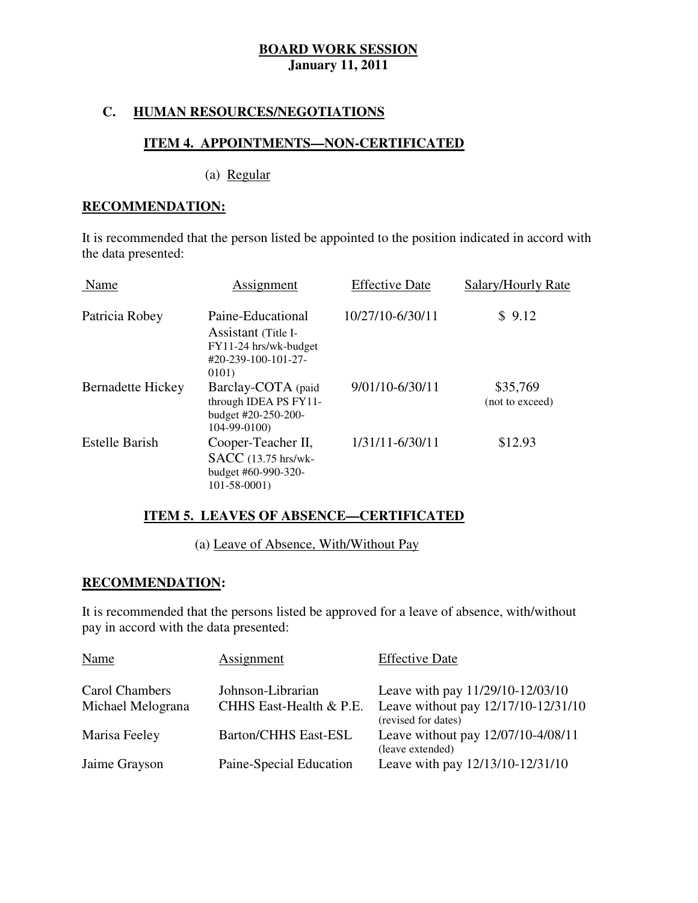## **C. HUMAN RESOURCES/NEGOTIATIONS**

#### ٦ **ITEM 4. APPOINTMENTS—NON-CERTIFICATED**

(a) Regular

### **RECOMMENDATION:**

 It is recommended that the person listed be appointed to the position indicated in accord with the data presented:

| Name                     | Assignment                                                                                        | <b>Effective Date</b> | Salary/Hourly Rate          |
|--------------------------|---------------------------------------------------------------------------------------------------|-----------------------|-----------------------------|
| Patricia Robey           | Paine-Educational<br>Assistant (Title I-<br>FY11-24 hrs/wk-budget<br>#20-239-100-101-27-<br>0101) | 10/27/10-6/30/11      | \$9.12                      |
| <b>Bernadette Hickey</b> | Barclay-COTA (paid<br>through IDEA PS FY11-<br>budget #20-250-200-<br>$104-99-0100$               | 9/01/10-6/30/11       | \$35,769<br>(not to exceed) |
| <b>Estelle Barish</b>    | Cooper-Teacher II,<br>SACC (13.75 hrs/wk-<br>budget #60-990-320-<br>$101 - 58 - 0001$             | 1/31/11-6/30/11       | \$12.93                     |

## **ITEM 5. LEAVES OF ABSENCE—CERTIFICATED**

(a) Leave of Absence, With/Without Pay

## **RECOMMENDATION:**

 It is recommended that the persons listed be approved for a leave of absence, with/without pay in accord with the data presented:

| Name              | Assignment                  | <b>Effective Date</b>                                      |
|-------------------|-----------------------------|------------------------------------------------------------|
| Carol Chambers    | Johnson-Librarian           | Leave with pay 11/29/10-12/03/10                           |
| Michael Melograna | CHHS East-Health & P.E.     | Leave without pay 12/17/10-12/31/10<br>(revised for dates) |
| Marisa Feeley     | <b>Barton/CHHS East-ESL</b> | Leave without pay 12/07/10-4/08/11<br>(leave extended)     |
| Jaime Grayson     | Paine-Special Education     | Leave with pay 12/13/10-12/31/10                           |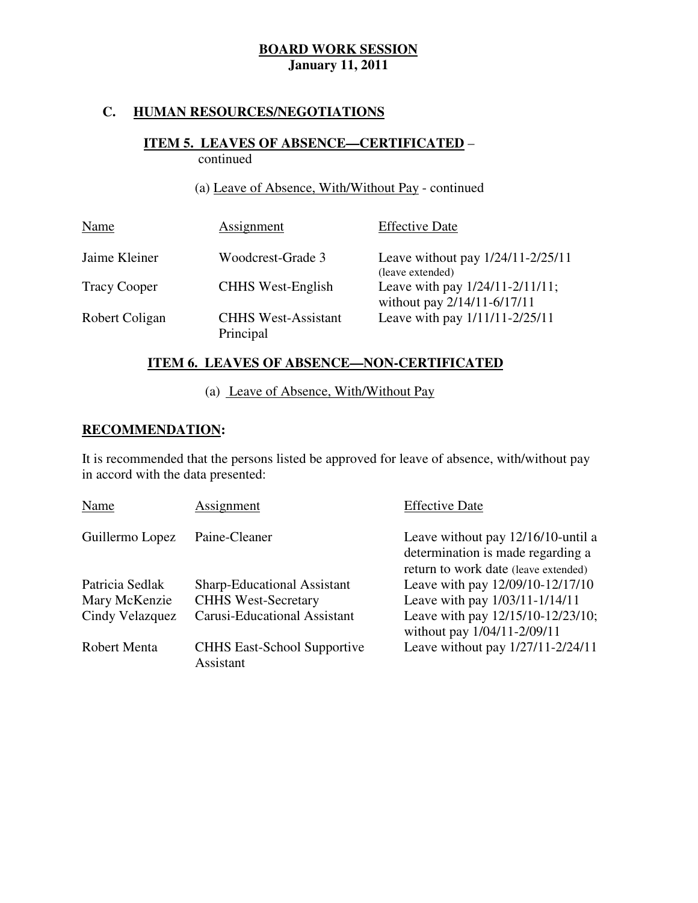## **C. HUMAN RESOURCES/NEGOTIATIONS**

#### **ITEM 5. LEAVES OF ABSENCE—CERTIFICATED** – ٦ continued

## (a) Leave of Absence, With/Without Pay - continued

| Name                | Assignment                              | <b>Effective Date</b>                                          |
|---------------------|-----------------------------------------|----------------------------------------------------------------|
| Jaime Kleiner       | Woodcrest-Grade 3                       | Leave without pay $1/24/11 - 2/25/11$<br>(leave extended)      |
| <b>Tracy Cooper</b> | <b>CHHS West-English</b>                | Leave with pay 1/24/11-2/11/11;<br>without pay 2/14/11-6/17/11 |
| Robert Coligan      | <b>CHHS West-Assistant</b><br>Principal | Leave with pay 1/11/11-2/25/11                                 |

## **ITEM 6. LEAVES OF ABSENCE—NON-CERTIFICATED**

# (a) Leave of Absence, With/Without Pay

#### ٦ **RECOMMENDATION:**

 It is recommended that the persons listed be approved for leave of absence, with/without pay in accord with the data presented:

| Name                | Assignment                                      | <b>Effective Date</b>                                                                                           |
|---------------------|-------------------------------------------------|-----------------------------------------------------------------------------------------------------------------|
| Guillermo Lopez     | Paine-Cleaner                                   | Leave without pay 12/16/10-until a<br>determination is made regarding a<br>return to work date (leave extended) |
| Patricia Sedlak     | <b>Sharp-Educational Assistant</b>              | Leave with pay 12/09/10-12/17/10                                                                                |
| Mary McKenzie       | <b>CHHS West-Secretary</b>                      | Leave with pay 1/03/11-1/14/11                                                                                  |
| Cindy Velazquez     | <b>Carusi-Educational Assistant</b>             | Leave with pay 12/15/10-12/23/10;<br>without pay 1/04/11-2/09/11                                                |
| <b>Robert Menta</b> | <b>CHHS East-School Supportive</b><br>Assistant | Leave without pay 1/27/11-2/24/11                                                                               |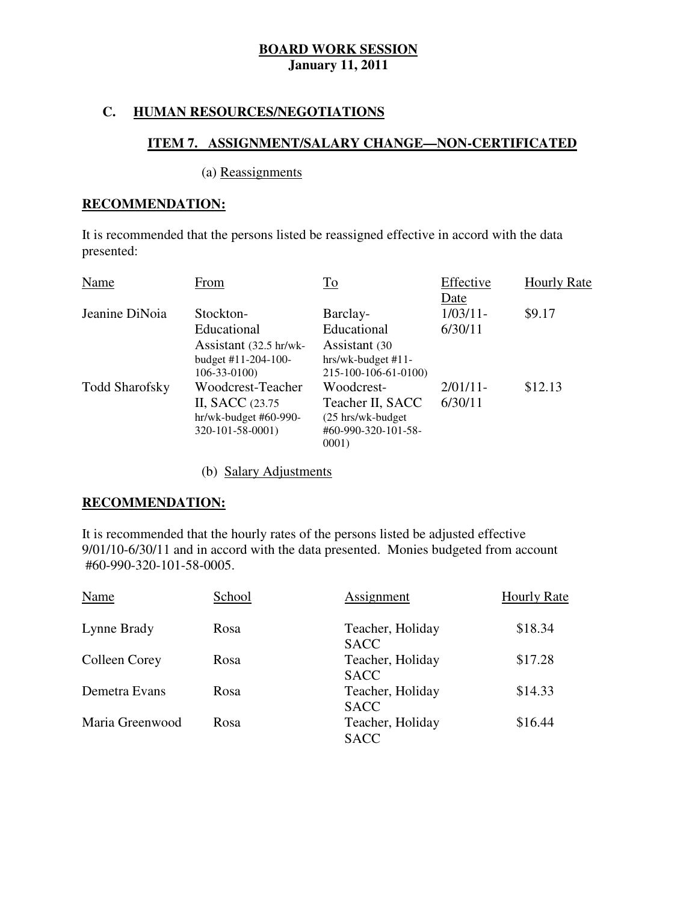## **C. HUMAN RESOURCES/NEGOTIATIONS**

## **ITEM 7. ASSIGNMENT/SALARY CHANGE—NON-CERTIFICATED**

## (a) Reassignments

#### **RECOMMENDATION:**

 It is recommended that the persons listed be reassigned effective in accord with the data presented: presented:<br>
Name From To Effective Hourly Rate

| From                   | $\underline{\operatorname{To}}$ | Effective                    | <b>Hourly Rate</b> |
|------------------------|---------------------------------|------------------------------|--------------------|
|                        |                                 | Date                         |                    |
| Stockton-              | Barclay-                        | $1/03/11-$                   | \$9.17             |
| Educational            | Educational                     | 6/30/11                      |                    |
| Assistant (32.5 hr/wk- | Assistant (30                   |                              |                    |
| budget #11-204-100-    | hrs/wk-budget #11-              |                              |                    |
| $106 - 33 - 0100$      | 215-100-106-61-0100)            |                              |                    |
| Woodcrest-Teacher      | Woodcrest-                      | $2/01/11$ -                  | \$12.13            |
| II, SACC (23.75)       | Teacher II, SACC                | 6/30/11                      |                    |
| hr/wk-budget #60-990-  | (25 hrs/wk-budget)              |                              |                    |
| 320-101-58-0001)       |                                 |                              |                    |
|                        |                                 |                              |                    |
|                        |                                 | #60-990-320-101-58-<br>0001) |                    |

(b) Salary Adjustments

## **RECOMMENDATION:**

 It is recommended that the hourly rates of the persons listed be adjusted effective 9/01/10-6/30/11 and in accord with the data presented. Monies budgeted from account #60-990-320-101-58-0005. #60-990-320-101-58-0005.<br>
Name School Assignment Hourly Rate

| Name            | School | Assignment                      | <b>Hourly Rate</b> |  |
|-----------------|--------|---------------------------------|--------------------|--|
| Lynne Brady     | Rosa   | Teacher, Holiday<br><b>SACC</b> | \$18.34            |  |
| Colleen Corey   | Rosa   | Teacher, Holiday<br><b>SACC</b> | \$17.28            |  |
| Demetra Evans   | Rosa   | Teacher, Holiday<br><b>SACC</b> | \$14.33            |  |
| Maria Greenwood | Rosa   | Teacher, Holiday<br><b>SACC</b> | \$16.44            |  |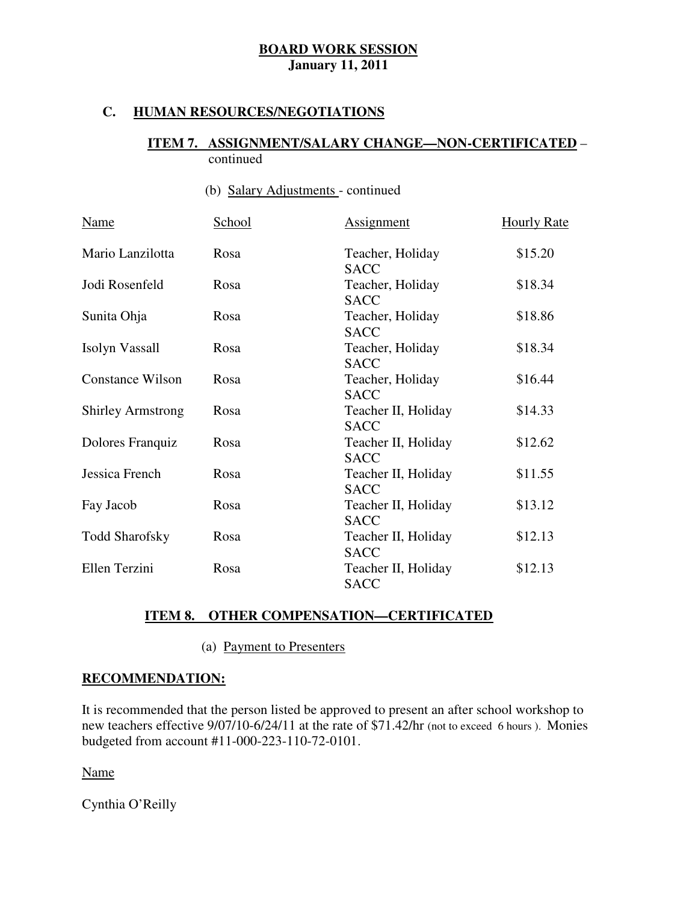## **C. HUMAN RESOURCES/NEGOTIATIONS**

#### **ITEM 7. ASSIGNMENT/SALARY CHANGE—NON-CERTIFICATED** – continued

## (b) Salary Adjustments - continued

| <b>Name</b>              | School | <b>Assignment</b>                             | <b>Hourly Rate</b> |  |
|--------------------------|--------|-----------------------------------------------|--------------------|--|
| Mario Lanzilotta         | Rosa   | Teacher, Holiday<br><b>SACC</b>               | \$15.20            |  |
| Jodi Rosenfeld           | Rosa   | Teacher, Holiday<br><b>SACC</b>               | \$18.34            |  |
| Sunita Ohja              | Rosa   | Teacher, Holiday<br><b>SACC</b>               | \$18.86            |  |
| Isolyn Vassall           | Rosa   | Teacher, Holiday<br><b>SACC</b>               | \$18.34            |  |
| <b>Constance Wilson</b>  | Rosa   | Teacher, Holiday<br><b>SACC</b>               | \$16.44            |  |
| <b>Shirley Armstrong</b> | Rosa   | Teacher II, Holiday<br><b>SACC</b>            | \$14.33            |  |
| Dolores Franquiz         | Rosa   | Teacher II, Holiday<br><b>SACC</b>            | \$12.62            |  |
| Jessica French           | Rosa   | Teacher II, Holiday<br><b>SACC</b>            | \$11.55            |  |
| Fay Jacob                | Rosa   | Teacher II, Holiday<br><b>SACC</b>            | \$13.12            |  |
| <b>Todd Sharofsky</b>    | Rosa   | \$12.13<br>Teacher II, Holiday<br><b>SACC</b> |                    |  |
| Ellen Terzini            | Rosa   | Teacher II, Holiday<br><b>SACC</b>            | \$12.13            |  |

## **ITEM 8. OTHER COMPENSATION—CERTIFICATED**

(a) Payment to Presenters

### **RECOMMENDATION:**

 It is recommended that the person listed be approved to present an after school workshop to new teachers effective 9/07/10-6/24/11 at the rate of \$71.42/hr (not to exceed 6 hours). Monies budgeted from account #11-000-223-110-72-0101.

Name

Cynthia O'Reilly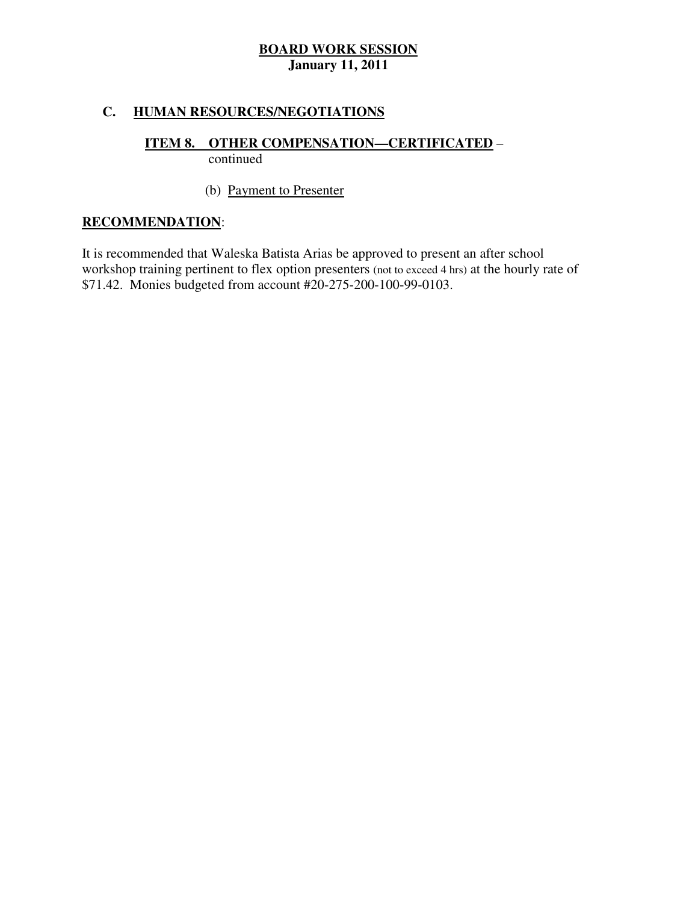## **C. HUMAN RESOURCES/NEGOTIATIONS**

#### **ITEM 8. OTHER COMPENSATION—CERTIFICATED** – continued

## (b) Payment to Presenter

## **RECOMMENDATION**:

 It is recommended that Waleska Batista Arias be approved to present an after school workshop training pertinent to flex option presenters (not to exceed 4 hrs) at the hourly rate of \$71.42. Monies budgeted from account #20-275-200-100-99-0103.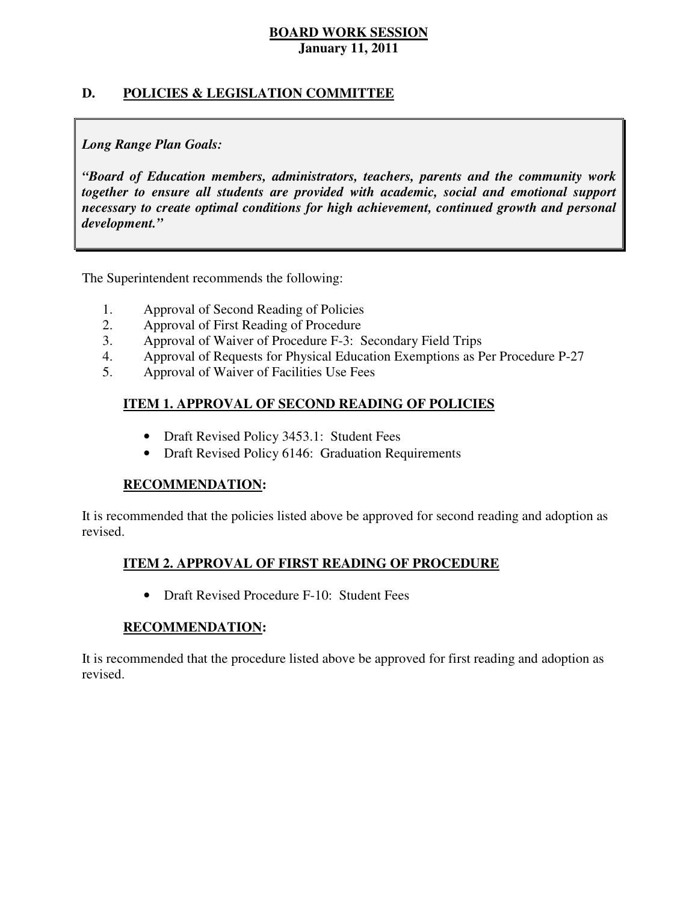## **D. POLICIES & LEGISLATION COMMITTEE**

## *Long Range Plan Goals:*

 *"Board of Education members, administrators, teachers, parents and the community work together to ensure all students are provided with academic, social and emotional support necessary to create optimal conditions for high achievement, continued growth and personal development."* 

The Superintendent recommends the following:

- 1. Approval of Second Reading of Policies
- 2. Approval of First Reading of Procedure
- 3. Approval of Waiver of Procedure F-3: Secondary Field Trips
- 4. Approval of Requests for Physical Education Exemptions as Per Procedure P-27
- 5. Approval of Waiver of Facilities Use Fees

## **ITEM 1. APPROVAL OF SECOND READING OF POLICIES**

- Draft Revised Policy 3453.1: Student Fees
- Draft Revised Policy 6146: Graduation Requirements

### **RECOMMENDATION:**

 It is recommended that the policies listed above be approved for second reading and adoption as revised.

## **ITEM 2. APPROVAL OF FIRST READING OF PROCEDURE**

• Draft Revised Procedure F-10: Student Fees

### **RECOMMENDATION:**

 It is recommended that the procedure listed above be approved for first reading and adoption as revised.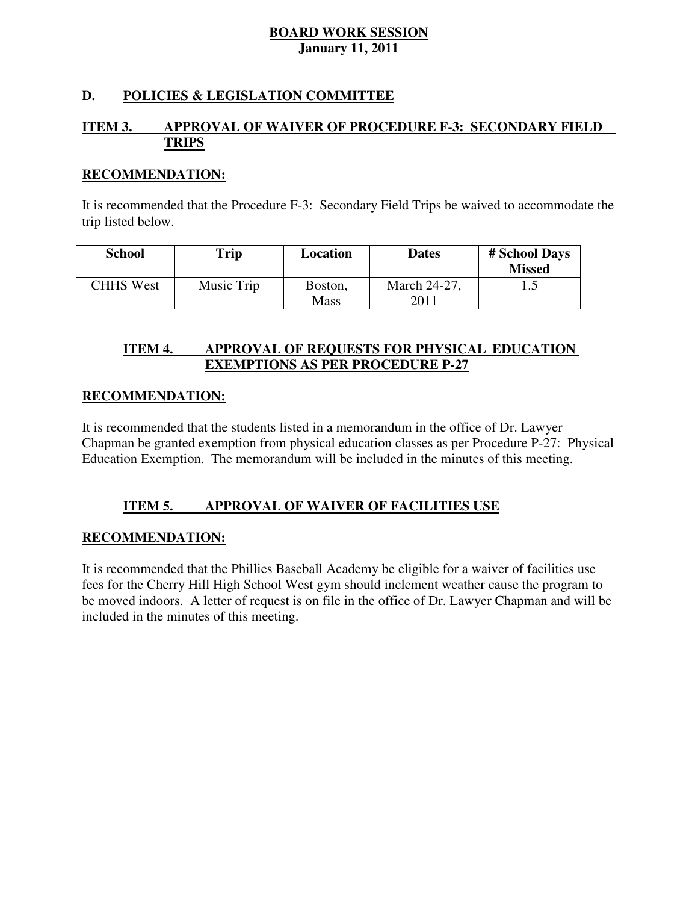## **D. POLICIES & LEGISLATION COMMITTEE**

#### **ITEM 3. IMPROVAL OF WAIVER OF PROCEDURE F-3: SECONDARY FIELD TRIPS**

#### **RECOMMENDATION:**

 It is recommended that the Procedure F-3: Secondary Field Trips be waived to accommodate the trip listed below.

| <b>School</b>    | Trip       | Location               | <b>Dates</b>         | # School Days<br><b>Missed</b> |
|------------------|------------|------------------------|----------------------|--------------------------------|
| <b>CHHS West</b> | Music Trip | Boston,<br><b>Mass</b> | March 24-27,<br>2011 |                                |

#### **ITEM 4. IMPROVAL OF REQUESTS FOR PHYSICAL EDUCATION EXEMPTIONS AS PER PROCEDURE P-27**

### **RECOMMENDATION:**

 It is recommended that the students listed in a memorandum in the office of Dr. Lawyer Chapman be granted exemption from physical education classes as per Procedure P-27: Physical Education Exemption. The memorandum will be included in the minutes of this meeting.

#### **ITEM 5. IMPROVAL OF WAIVER OF FACILITIES USE**

### **RECOMMENDATION:**

 It is recommended that the Phillies Baseball Academy be eligible for a waiver of facilities use fees for the Cherry Hill High School West gym should inclement weather cause the program to be moved indoors. A letter of request is on file in the office of Dr. Lawyer Chapman and will be included in the minutes of this meeting.